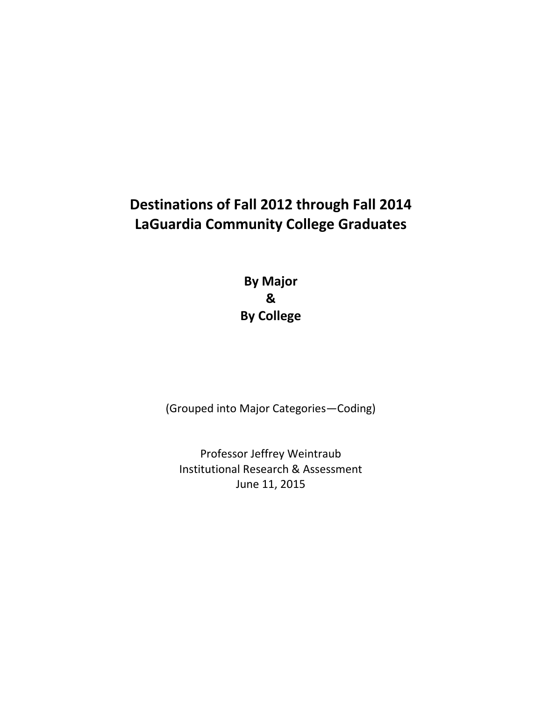## **Destinations of Fall 2012 through Fall 2014 LaGuardia Community College Graduates**

 **By Major By College &**

(Grouped into Major Categories—Coding)

 Professor Jeffrey Weintraub Institutional Research & Assessment June 11, 2015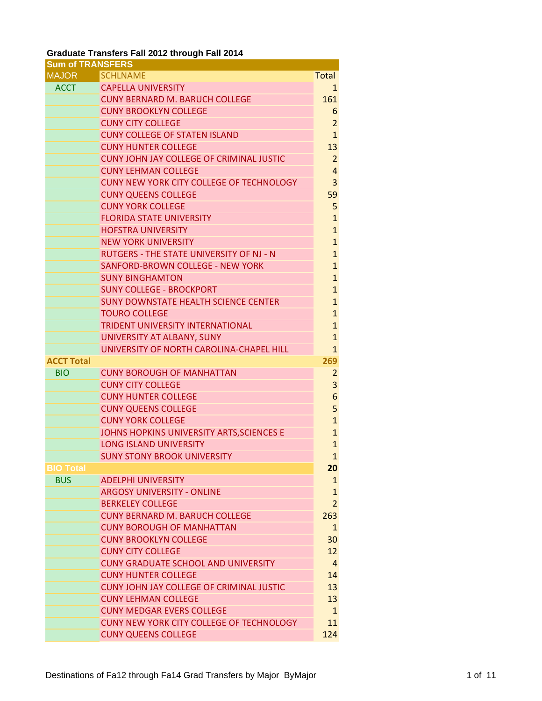## **Graduate Transfers Fall 2012 through Fall 2014**

| <b>Sum of TRANSFERS</b> |                                                 |                |
|-------------------------|-------------------------------------------------|----------------|
| <b>MAJOR</b>            | <b>SCHLNAME</b>                                 | <b>Total</b>   |
| <b>ACCT</b>             | <b>CAPELLA UNIVERSITY</b>                       | 1              |
|                         | <b>CUNY BERNARD M. BARUCH COLLEGE</b>           | 161            |
|                         | <b>CUNY BROOKLYN COLLEGE</b>                    | 6              |
|                         | <b>CUNY CITY COLLEGE</b>                        | $\overline{2}$ |
|                         | <b>CUNY COLLEGE OF STATEN ISLAND</b>            | $\mathbf{1}$   |
|                         | <b>CUNY HUNTER COLLEGE</b>                      | 13             |
|                         | <b>CUNY JOHN JAY COLLEGE OF CRIMINAL JUSTIC</b> | $\overline{2}$ |
|                         | <b>CUNY LEHMAN COLLEGE</b>                      | $\overline{4}$ |
|                         | CUNY NEW YORK CITY COLLEGE OF TECHNOLOGY        | 3              |
|                         | <b>CUNY QUEENS COLLEGE</b>                      | 59             |
|                         | <b>CUNY YORK COLLEGE</b>                        | 5              |
|                         | <b>FLORIDA STATE UNIVERSITY</b>                 | $\mathbf{1}$   |
|                         | <b>HOFSTRA UNIVERSITY</b>                       | $\mathbf{1}$   |
|                         | <b>NEW YORK UNIVERSITY</b>                      | $\mathbf{1}$   |
|                         | <b>RUTGERS - THE STATE UNIVERSITY OF NJ - N</b> | $\mathbf{1}$   |
|                         | SANFORD-BROWN COLLEGE - NEW YORK                | $\mathbf{1}$   |
|                         | <b>SUNY BINGHAMTON</b>                          | $\mathbf{1}$   |
|                         | <b>SUNY COLLEGE - BROCKPORT</b>                 | $\mathbf{1}$   |
|                         | <b>SUNY DOWNSTATE HEALTH SCIENCE CENTER</b>     | $\mathbf{1}$   |
|                         | <b>TOURO COLLEGE</b>                            | $\mathbf{1}$   |
|                         | <b>TRIDENT UNIVERSITY INTERNATIONAL</b>         | $\mathbf{1}$   |
|                         | UNIVERSITY AT ALBANY, SUNY                      | $\mathbf{1}$   |
|                         | UNIVERSITY OF NORTH CAROLINA-CHAPEL HILL        | $\mathbf{1}$   |
| <b>ACCT Total</b>       |                                                 | 269            |
| <b>BIO</b>              | <b>CUNY BOROUGH OF MANHATTAN</b>                | $\overline{2}$ |
|                         | <b>CUNY CITY COLLEGE</b>                        | 3              |
|                         | <b>CUNY HUNTER COLLEGE</b>                      | 6              |
|                         | <b>CUNY QUEENS COLLEGE</b>                      | 5              |
|                         | <b>CUNY YORK COLLEGE</b>                        | $\mathbf{1}$   |
|                         | JOHNS HOPKINS UNIVERSITY ARTS, SCIENCES E       | $\mathbf{1}$   |
|                         | <b>LONG ISLAND UNIVERSITY</b>                   | $\mathbf{1}$   |
|                         | <b>SUNY STONY BROOK UNIVERSITY</b>              | $\mathbf{1}$   |
| <b>BIO Total</b>        |                                                 | 20             |
| <b>BUS</b>              | <b>ADELPHI UNIVERSITY</b>                       | $\mathbf{1}$   |
|                         | <b>ARGOSY UNIVERSITY - ONLINE</b>               | $\mathbf{1}$   |
|                         | <b>BERKELEY COLLEGE</b>                         | $\overline{2}$ |
|                         | <b>CUNY BERNARD M. BARUCH COLLEGE</b>           | 263            |
|                         | <b>CUNY BOROUGH OF MANHATTAN</b>                | $\mathbf{1}$   |
|                         | <b>CUNY BROOKLYN COLLEGE</b>                    | 30             |
|                         | <b>CUNY CITY COLLEGE</b>                        | 12             |
|                         | <b>CUNY GRADUATE SCHOOL AND UNIVERSITY</b>      | $\overline{4}$ |
|                         | <b>CUNY HUNTER COLLEGE</b>                      | 14             |
|                         | <b>CUNY JOHN JAY COLLEGE OF CRIMINAL JUSTIC</b> | 13             |
|                         | <b>CUNY LEHMAN COLLEGE</b>                      | 13             |
|                         | <b>CUNY MEDGAR EVERS COLLEGE</b>                | $\mathbf{1}$   |
|                         | CUNY NEW YORK CITY COLLEGE OF TECHNOLOGY        | 11             |
|                         | <b>CUNY QUEENS COLLEGE</b>                      | 124            |
|                         |                                                 |                |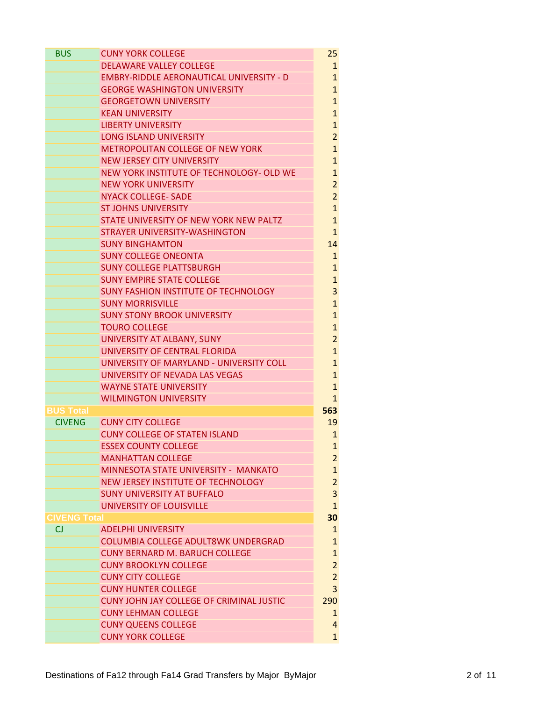| <b>BUS</b>         | <b>CUNY YORK COLLEGE</b>                        | 25             |
|--------------------|-------------------------------------------------|----------------|
|                    | <b>DELAWARE VALLEY COLLEGE</b>                  | $\mathbf{1}$   |
|                    | <b>EMBRY-RIDDLE AERONAUTICAL UNIVERSITY - D</b> | $\mathbf{1}$   |
|                    | <b>GEORGE WASHINGTON UNIVERSITY</b>             | $\mathbf{1}$   |
|                    | <b>GEORGETOWN UNIVERSITY</b>                    | $\mathbf{1}$   |
|                    | <b>KEAN UNIVERSITY</b>                          | $\mathbf{1}$   |
|                    | <b>LIBERTY UNIVERSITY</b>                       | $\mathbf{1}$   |
|                    | <b>LONG ISLAND UNIVERSITY</b>                   | $\overline{2}$ |
|                    | <b>METROPOLITAN COLLEGE OF NEW YORK</b>         | $\mathbf{1}$   |
|                    | <b>NEW JERSEY CITY UNIVERSITY</b>               | $\mathbf{1}$   |
|                    | NEW YORK INSTITUTE OF TECHNOLOGY- OLD WE        | $\mathbf{1}$   |
|                    | <b>NEW YORK UNIVERSITY</b>                      | $\overline{2}$ |
|                    | <b>NYACK COLLEGE- SADE</b>                      | $\overline{2}$ |
|                    | <b>ST JOHNS UNIVERSITY</b>                      | $\mathbf{1}$   |
|                    | STATE UNIVERSITY OF NEW YORK NEW PALTZ          | $\mathbf{1}$   |
|                    | <b>STRAYER UNIVERSITY-WASHINGTON</b>            | $\mathbf{1}$   |
|                    | <b>SUNY BINGHAMTON</b>                          | 14             |
|                    | <b>SUNY COLLEGE ONEONTA</b>                     | $\mathbf{1}$   |
|                    | <b>SUNY COLLEGE PLATTSBURGH</b>                 | $\mathbf{1}$   |
|                    | <b>SUNY EMPIRE STATE COLLEGE</b>                | $\mathbf{1}$   |
|                    | <b>SUNY FASHION INSTITUTE OF TECHNOLOGY</b>     | 3              |
|                    | <b>SUNY MORRISVILLE</b>                         | $\mathbf{1}$   |
|                    | <b>SUNY STONY BROOK UNIVERSITY</b>              | $\mathbf{1}$   |
|                    | <b>TOURO COLLEGE</b>                            | $\mathbf{1}$   |
|                    | UNIVERSITY AT ALBANY, SUNY                      | $\overline{2}$ |
|                    | UNIVERSITY OF CENTRAL FLORIDA                   | $\mathbf{1}$   |
|                    | UNIVERSITY OF MARYLAND - UNIVERSITY COLL        | $\mathbf{1}$   |
|                    | UNIVERSITY OF NEVADA LAS VEGAS                  | $\mathbf{1}$   |
|                    | <b>WAYNE STATE UNIVERSITY</b>                   | $\mathbf{1}$   |
|                    | <b>WILMINGTON UNIVERSITY</b>                    | $\mathbf{1}$   |
| <b>BUS Total</b>   |                                                 | 563            |
| <b>CIVENG</b>      | <b>CUNY CITY COLLEGE</b>                        | 19             |
|                    | <b>CUNY COLLEGE OF STATEN ISLAND</b>            | $\mathbf{1}$   |
|                    | <b>ESSEX COUNTY COLLEGE</b>                     |                |
|                    |                                                 | $\mathbf{1}$   |
|                    | <b>MANHATTAN COLLEGE</b>                        | $\overline{2}$ |
|                    | MINNESOTA STATE UNIVERSITY - MANKATO            | $\mathbf{1}$   |
|                    | NEW JERSEY INSTITUTE OF TECHNOLOGY              | $\overline{2}$ |
|                    | <b>SUNY UNIVERSITY AT BUFFALO</b>               | 3              |
|                    | UNIVERSITY OF LOUISVILLE                        | $\mathbf{1}$   |
| <b>CIVENG Tota</b> |                                                 | 30             |
| CJ                 | <b>ADELPHI UNIVERSITY</b>                       | $\mathbf{1}$   |
|                    | <b>COLUMBIA COLLEGE ADULT8WK UNDERGRAD</b>      | $\mathbf{1}$   |
|                    | <b>CUNY BERNARD M. BARUCH COLLEGE</b>           | $\mathbf{1}$   |
|                    | <b>CUNY BROOKLYN COLLEGE</b>                    | $\overline{2}$ |
|                    | <b>CUNY CITY COLLEGE</b>                        | $\overline{2}$ |
|                    | <b>CUNY HUNTER COLLEGE</b>                      | 3              |
|                    | <b>CUNY JOHN JAY COLLEGE OF CRIMINAL JUSTIC</b> | 290            |
|                    | <b>CUNY LEHMAN COLLEGE</b>                      | $\mathbf{1}$   |
|                    | <b>CUNY QUEENS COLLEGE</b>                      | $\overline{4}$ |
|                    | <b>CUNY YORK COLLEGE</b>                        | $\mathbf{1}$   |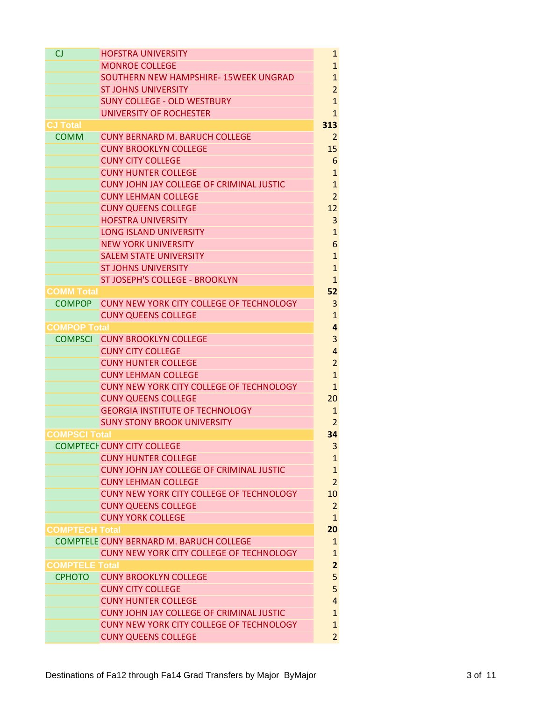| <b>CJ</b>             | <b>HOFSTRA UNIVERSITY</b>                                                     | $\mathbf{1}$            |
|-----------------------|-------------------------------------------------------------------------------|-------------------------|
|                       | <b>MONROE COLLEGE</b>                                                         | $\mathbf{1}$            |
|                       | SOUTHERN NEW HAMPSHIRE- 15WEEK UNGRAD                                         | $\mathbf{1}$            |
|                       | <b>ST JOHNS UNIVERSITY</b>                                                    | $\overline{2}$          |
|                       | <b>SUNY COLLEGE - OLD WESTBURY</b>                                            | $\mathbf{1}$            |
|                       | <b>UNIVERSITY OF ROCHESTER</b>                                                | 1                       |
| CJ Total              |                                                                               | 313                     |
| <b>COMM</b>           | <b>CUNY BERNARD M. BARUCH COLLEGE</b>                                         | 2                       |
|                       | <b>CUNY BROOKLYN COLLEGE</b>                                                  | 15                      |
|                       | <b>CUNY CITY COLLEGE</b>                                                      | 6                       |
|                       | <b>CUNY HUNTER COLLEGE</b>                                                    | $\mathbf{1}$            |
|                       | CUNY JOHN JAY COLLEGE OF CRIMINAL JUSTIC                                      | $\mathbf{1}$            |
|                       | <b>CUNY LEHMAN COLLEGE</b>                                                    | $\overline{2}$          |
|                       | <b>CUNY QUEENS COLLEGE</b>                                                    | 12                      |
|                       | <b>HOFSTRA UNIVERSITY</b>                                                     | 3                       |
|                       | <b>LONG ISLAND UNIVERSITY</b>                                                 | $\mathbf{1}$            |
|                       | <b>NEW YORK UNIVERSITY</b>                                                    | 6                       |
|                       | <b>SALEM STATE UNIVERSITY</b>                                                 | $\mathbf{1}$            |
|                       | <b>ST JOHNS UNIVERSITY</b>                                                    | $\mathbf{1}$            |
|                       | ST JOSEPH'S COLLEGE - BROOKLYN                                                | $\mathbf{1}$            |
| <b>COMM Total</b>     |                                                                               | 52                      |
|                       | COMPOP CUNY NEW YORK CITY COLLEGE OF TECHNOLOGY                               | 3                       |
|                       | <b>CUNY QUEENS COLLEGE</b>                                                    | $\mathbf{1}$            |
| <b>COMPOP Total</b>   |                                                                               | 4                       |
| <b>COMPSCI</b>        | <b>CUNY BROOKLYN COLLEGE</b>                                                  | 3                       |
|                       | <b>CUNY CITY COLLEGE</b>                                                      | 4                       |
|                       | <b>CUNY HUNTER COLLEGE</b>                                                    | $\overline{2}$          |
|                       | <b>CUNY LEHMAN COLLEGE</b>                                                    | $\mathbf{1}$            |
|                       | <b>CUNY NEW YORK CITY COLLEGE OF TECHNOLOGY</b>                               | 1                       |
|                       | <b>CUNY QUEENS COLLEGE</b>                                                    | 20                      |
|                       | <b>GEORGIA INSTITUTE OF TECHNOLOGY</b>                                        | 1                       |
|                       | <b>SUNY STONY BROOK UNIVERSITY</b>                                            | $\overline{2}$          |
| <b>COMPSCI Total</b>  |                                                                               | 34                      |
|                       | <b>COMPTECHCUNY CITY COLLEGE</b>                                              | 3                       |
|                       | <b>CUNY HUNTER COLLEGE</b>                                                    | $\mathbf{1}$            |
|                       | <b>CUNY JOHN JAY COLLEGE OF CRIMINAL JUSTIC</b><br><b>CUNY LEHMAN COLLEGE</b> | $\mathbf{1}$            |
|                       |                                                                               | $\overline{2}$          |
|                       | CUNY NEW YORK CITY COLLEGE OF TECHNOLOGY<br><b>CUNY QUEENS COLLEGE</b>        | 10<br>$\overline{2}$    |
|                       | <b>CUNY YORK COLLEGE</b>                                                      | $\mathbf{1}$            |
|                       |                                                                               | 20                      |
| <b>COMPTECH Total</b> | COMPTELE CUNY BERNARD M. BARUCH COLLEGE                                       | $\mathbf{1}$            |
|                       | CUNY NEW YORK CITY COLLEGE OF TECHNOLOGY                                      | $\mathbf{1}$            |
| <b>COMPTELE Total</b> |                                                                               | $\overline{\mathbf{c}}$ |
| <b>CPHOTO</b>         | <b>CUNY BROOKLYN COLLEGE</b>                                                  | 5                       |
|                       | <b>CUNY CITY COLLEGE</b>                                                      | 5                       |
|                       | <b>CUNY HUNTER COLLEGE</b>                                                    | $\overline{4}$          |
|                       | CUNY JOHN JAY COLLEGE OF CRIMINAL JUSTIC                                      | $\mathbf{1}$            |
|                       | CUNY NEW YORK CITY COLLEGE OF TECHNOLOGY                                      | $\mathbf{1}$            |
|                       | <b>CUNY QUEENS COLLEGE</b>                                                    | $\overline{2}$          |
|                       |                                                                               |                         |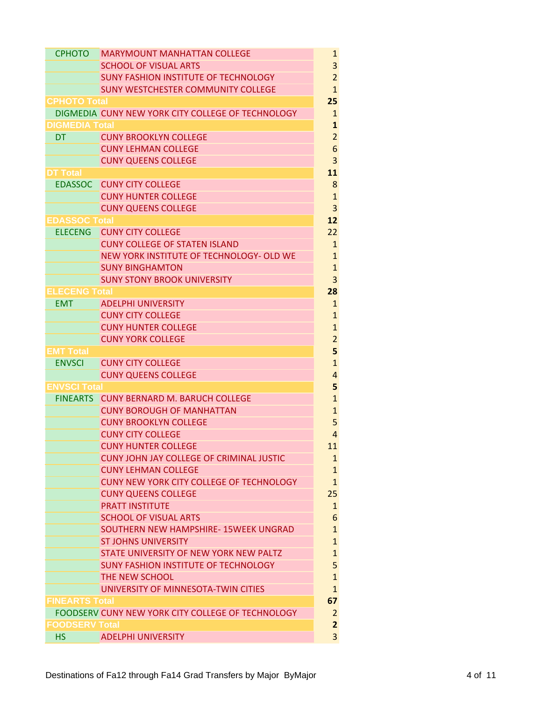| <b>CPHOTO</b>         | <b>MARYMOUNT MANHATTAN COLLEGE</b>                | $\mathbf{1}$                 |
|-----------------------|---------------------------------------------------|------------------------------|
|                       | <b>SCHOOL OF VISUAL ARTS</b>                      | 3                            |
|                       | <b>SUNY FASHION INSTITUTE OF TECHNOLOGY</b>       | $\overline{2}$               |
|                       | SUNY WESTCHESTER COMMUNITY COLLEGE                | $\mathbf{1}$                 |
| <b>CPHOTO Total</b>   |                                                   | 25                           |
|                       | DIGMEDIA CUNY NEW YORK CITY COLLEGE OF TECHNOLOGY | $\mathbf{1}$                 |
| <b>DIGMEDIA Total</b> |                                                   | $\mathbf{1}$                 |
| <b>DT</b>             | <b>CUNY BROOKLYN COLLEGE</b>                      | $\overline{2}$               |
|                       | <b>CUNY LEHMAN COLLEGE</b>                        | 6                            |
|                       | <b>CUNY QUEENS COLLEGE</b>                        | 3                            |
| DT Total              |                                                   | 11                           |
| <b>EDASSOC</b>        | <b>CUNY CITY COLLEGE</b>                          | 8                            |
|                       | <b>CUNY HUNTER COLLEGE</b>                        | $\overline{1}$               |
|                       | <b>CUNY QUEENS COLLEGE</b>                        | 3                            |
| <b>EDASSOC Total</b>  |                                                   | 12                           |
| <b>ELECENG</b>        | <b>CUNY CITY COLLEGE</b>                          | 22                           |
|                       | <b>CUNY COLLEGE OF STATEN ISLAND</b>              | $\mathbf{1}$                 |
|                       | NEW YORK INSTITUTE OF TECHNOLOGY- OLD WE          | $\overline{1}$               |
|                       | <b>SUNY BINGHAMTON</b>                            | $\overline{1}$               |
|                       | <b>SUNY STONY BROOK UNIVERSITY</b>                | 3                            |
| <b>ELECENG Total</b>  |                                                   | 28                           |
| <b>EMT</b>            | <b>ADELPHI UNIVERSITY</b>                         | $\mathbf{1}$                 |
|                       | <b>CUNY CITY COLLEGE</b>                          | $\mathbf{1}$                 |
|                       | <b>CUNY HUNTER COLLEGE</b>                        | $\overline{1}$               |
|                       | <b>CUNY YORK COLLEGE</b>                          | $\overline{c}$               |
| EMT Total             |                                                   | 5                            |
| <b>ENVSCI</b>         | <b>CUNY CITY COLLEGE</b>                          | $\overline{1}$               |
|                       | <b>CUNY QUEENS COLLEGE</b>                        | $\overline{a}$               |
| <b>ENVSCI Total</b>   |                                                   | 5                            |
| <b>FINEARTS</b>       | <b>CUNY BERNARD M. BARUCH COLLEGE</b>             | $\overline{1}$               |
|                       | <b>CUNY BOROUGH OF MANHATTAN</b>                  | $\mathbf{1}$                 |
|                       | <b>CUNY BROOKLYN COLLEGE</b>                      | 5                            |
|                       | <b>CUNY CITY COLLEGE</b>                          | $\overline{4}$               |
|                       | <b>CUNY HUNTER COLLEGE</b>                        |                              |
|                       | <b>CUNY JOHN JAY COLLEGE OF CRIMINAL JUSTIC</b>   | 11                           |
|                       | <b>CUNY LEHMAN COLLEGE</b>                        | 1                            |
|                       | <b>CUNY NEW YORK CITY COLLEGE OF TECHNOLOGY</b>   | $\mathbf{1}$<br>$\mathbf{1}$ |
|                       |                                                   | 25                           |
|                       | <b>CUNY QUEENS COLLEGE</b>                        |                              |
|                       | <b>PRATT INSTITUTE</b>                            | $\overline{1}$               |
|                       | <b>SCHOOL OF VISUAL ARTS</b>                      | 6                            |
|                       | SOUTHERN NEW HAMPSHIRE-15WEEK UNGRAD              | $\overline{1}$               |
|                       | <b>ST JOHNS UNIVERSITY</b>                        | $\overline{1}$               |
|                       | STATE UNIVERSITY OF NEW YORK NEW PALTZ            | $\overline{1}$               |
|                       | <b>SUNY FASHION INSTITUTE OF TECHNOLOGY</b>       | 5                            |
|                       | THE NEW SCHOOL                                    | $\overline{1}$               |
|                       | UNIVERSITY OF MINNESOTA-TWIN CITIES               | $\mathbf{1}$                 |
| <b>FINEARTS Total</b> |                                                   | 67                           |
|                       | FOODSERV CUNY NEW YORK CITY COLLEGE OF TECHNOLOGY | $\overline{2}$               |
| <b>FOODSERV Total</b> |                                                   | $\overline{2}$               |
| <b>HS</b>             | <b>ADELPHI UNIVERSITY</b>                         | 3                            |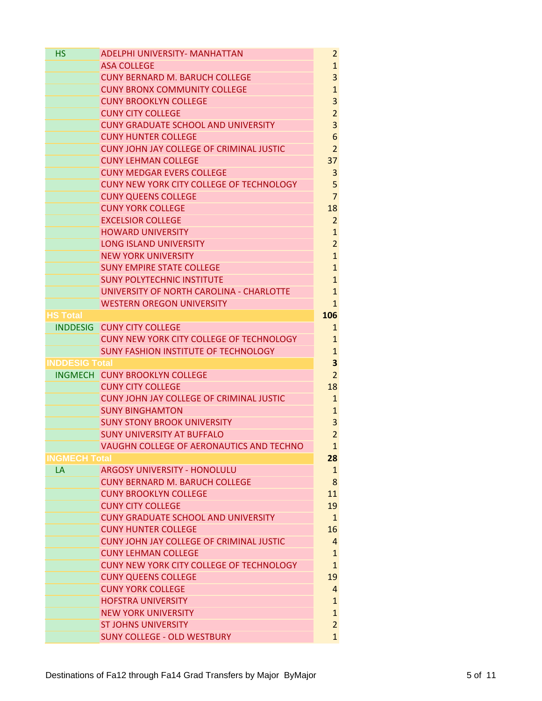| <b>HS</b>             | <b>ADELPHI UNIVERSITY- MANHATTAN</b>                             | $\overline{2}$                 |
|-----------------------|------------------------------------------------------------------|--------------------------------|
|                       | <b>ASA COLLEGE</b>                                               |                                |
|                       | <b>CUNY BERNARD M. BARUCH COLLEGE</b>                            | 3                              |
|                       | <b>CUNY BRONX COMMUNITY COLLEGE</b>                              | $\mathbf{1}$                   |
|                       | <b>CUNY BROOKLYN COLLEGE</b>                                     | 3                              |
|                       | <b>CUNY CITY COLLEGE</b>                                         | $\overline{2}$                 |
|                       | <b>CUNY GRADUATE SCHOOL AND UNIVERSITY</b>                       | 3                              |
|                       | <b>CUNY HUNTER COLLEGE</b>                                       | 6                              |
|                       | <b>CUNY JOHN JAY COLLEGE OF CRIMINAL JUSTIC</b>                  | $\overline{2}$                 |
|                       | <b>CUNY LEHMAN COLLEGE</b>                                       | 37                             |
|                       | <b>CUNY MEDGAR EVERS COLLEGE</b>                                 | 3                              |
|                       | <b>CUNY NEW YORK CITY COLLEGE OF TECHNOLOGY</b>                  | 5                              |
|                       | <b>CUNY QUEENS COLLEGE</b>                                       | $\overline{7}$                 |
|                       | <b>CUNY YORK COLLEGE</b>                                         | 18                             |
|                       | <b>EXCELSIOR COLLEGE</b>                                         | $\overline{2}$                 |
|                       | <b>HOWARD UNIVERSITY</b>                                         | $\mathbf{1}$                   |
|                       | <b>LONG ISLAND UNIVERSITY</b>                                    | $\overline{2}$                 |
|                       | <b>NEW YORK UNIVERSITY</b>                                       | $\mathbf{1}$                   |
|                       | <b>SUNY EMPIRE STATE COLLEGE</b>                                 | $\mathbf{1}$                   |
|                       | <b>SUNY POLYTECHNIC INSTITUTE</b>                                | $\mathbf{1}$                   |
|                       | UNIVERSITY OF NORTH CAROLINA - CHARLOTTE                         | $\mathbf{1}$                   |
|                       | <b>WESTERN OREGON UNIVERSITY</b>                                 | $\mathbf{1}$                   |
| HS Total              |                                                                  | 106                            |
| <b>INDDESIG</b>       | <b>CUNY CITY COLLEGE</b>                                         | 1                              |
|                       | CUNY NEW YORK CITY COLLEGE OF TECHNOLOGY                         | $\mathbf{1}$                   |
|                       | <b>SUNY FASHION INSTITUTE OF TECHNOLOGY</b>                      | $\mathbf{1}$                   |
|                       |                                                                  |                                |
| <b>INDDESIG Total</b> |                                                                  | 3                              |
|                       | INGMECH CUNY BROOKLYN COLLEGE                                    | $\overline{2}$                 |
|                       | <b>CUNY CITY COLLEGE</b>                                         | 18                             |
|                       | <b>CUNY JOHN JAY COLLEGE OF CRIMINAL JUSTIC</b>                  | 1                              |
|                       | <b>SUNY BINGHAMTON</b>                                           | $\mathbf{1}$                   |
|                       | <b>SUNY STONY BROOK UNIVERSITY</b>                               | 3                              |
|                       | <b>SUNY UNIVERSITY AT BUFFALO</b>                                | $\overline{2}$                 |
|                       | VAUGHN COLLEGE OF AERONAUTICS AND TECHNO                         | $\mathbf{1}$                   |
| <b>INGMECH Total</b>  |                                                                  | 28                             |
| LA                    | <b>ARGOSY UNIVERSITY - HONOLULU</b>                              | $\mathbf{1}$                   |
|                       | <b>CUNY BERNARD M. BARUCH COLLEGE</b>                            | 8                              |
|                       | <b>CUNY BROOKLYN COLLEGE</b>                                     | 11                             |
|                       | <b>CUNY CITY COLLEGE</b>                                         | 19                             |
|                       | <b>CUNY GRADUATE SCHOOL AND UNIVERSITY</b>                       | $\mathbf{1}$                   |
|                       | <b>CUNY HUNTER COLLEGE</b>                                       | 16                             |
|                       | <b>CUNY JOHN JAY COLLEGE OF CRIMINAL JUSTIC</b>                  | $\overline{4}$                 |
|                       | <b>CUNY LEHMAN COLLEGE</b>                                       | $\mathbf{1}$                   |
|                       | CUNY NEW YORK CITY COLLEGE OF TECHNOLOGY                         | $\mathbf{1}$                   |
|                       | <b>CUNY QUEENS COLLEGE</b>                                       | 19                             |
|                       | <b>CUNY YORK COLLEGE</b>                                         | $\overline{4}$                 |
|                       | <b>HOFSTRA UNIVERSITY</b>                                        | $\mathbf{1}$                   |
|                       | <b>NEW YORK UNIVERSITY</b>                                       | $\mathbf{1}$                   |
|                       | <b>ST JOHNS UNIVERSITY</b><br><b>SUNY COLLEGE - OLD WESTBURY</b> | $\overline{2}$<br>$\mathbf{1}$ |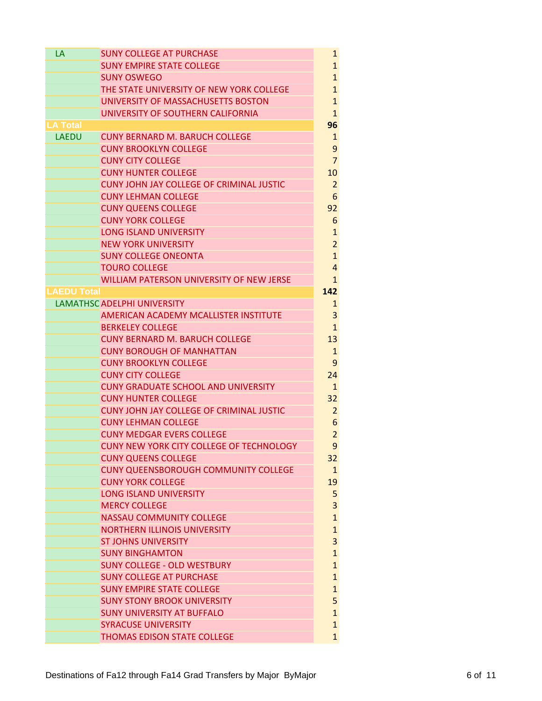| LA                 | <b>SUNY COLLEGE AT PURCHASE</b>                         | 1                            |
|--------------------|---------------------------------------------------------|------------------------------|
|                    | <b>SUNY EMPIRE STATE COLLEGE</b>                        | $\mathbf{1}$                 |
|                    | <b>SUNY OSWEGO</b>                                      | $\mathbf{1}$                 |
|                    | THE STATE UNIVERSITY OF NEW YORK COLLEGE                | $\mathbf{1}$                 |
|                    | UNIVERSITY OF MASSACHUSETTS BOSTON                      | $\mathbf{1}$                 |
|                    | UNIVERSITY OF SOUTHERN CALIFORNIA                       | $\mathbf{1}$                 |
| LA Total           |                                                         | 96                           |
| <b>LAEDU</b>       | <b>CUNY BERNARD M. BARUCH COLLEGE</b>                   | $\mathbf{1}$                 |
|                    | <b>CUNY BROOKLYN COLLEGE</b>                            | 9                            |
|                    | <b>CUNY CITY COLLEGE</b>                                | $\overline{7}$               |
|                    | <b>CUNY HUNTER COLLEGE</b>                              | 10                           |
|                    | CUNY JOHN JAY COLLEGE OF CRIMINAL JUSTIC                | $\overline{2}$               |
|                    | <b>CUNY LEHMAN COLLEGE</b>                              | 6                            |
|                    | <b>CUNY QUEENS COLLEGE</b>                              | 92                           |
|                    | <b>CUNY YORK COLLEGE</b>                                | 6                            |
|                    | <b>LONG ISLAND UNIVERSITY</b>                           | $\mathbf{1}$                 |
|                    | <b>NEW YORK UNIVERSITY</b>                              | $\overline{2}$               |
|                    | <b>SUNY COLLEGE ONEONTA</b>                             | $\mathbf{1}$                 |
|                    | <b>TOURO COLLEGE</b>                                    | 4                            |
|                    | WILLIAM PATERSON UNIVERSITY OF NEW JERSE                | $\mathbf 1$                  |
| <b>LAEDU Total</b> |                                                         | 142                          |
|                    | <b>LAMATHSC ADELPHI UNIVERSITY</b>                      | 1                            |
|                    | AMERICAN ACADEMY MCALLISTER INSTITUTE                   | 3                            |
|                    | <b>BERKELEY COLLEGE</b>                                 | $\mathbf 1$                  |
|                    | <b>CUNY BERNARD M. BARUCH COLLEGE</b>                   | 13                           |
|                    | <b>CUNY BOROUGH OF MANHATTAN</b>                        | 1                            |
|                    | <b>CUNY BROOKLYN COLLEGE</b>                            | 9                            |
|                    | <b>CUNY CITY COLLEGE</b>                                | 24                           |
|                    | <b>CUNY GRADUATE SCHOOL AND UNIVERSITY</b>              | $\mathbf{1}$                 |
|                    | <b>CUNY HUNTER COLLEGE</b>                              | 32                           |
|                    | <b>CUNY JOHN JAY COLLEGE OF CRIMINAL JUSTIC</b>         | $\overline{2}$               |
|                    | <b>CUNY LEHMAN COLLEGE</b>                              | 6                            |
|                    | <b>CUNY MEDGAR EVERS COLLEGE</b>                        | $\overline{2}$               |
|                    | CUNY NEW YORK CITY COLLEGE OF TECHNOLOGY                | 9                            |
|                    | <b>CUNY QUEENS COLLEGE</b>                              | 32                           |
|                    | <b>CUNY QUEENSBOROUGH COMMUNITY COLLEGE</b>             | $\mathbf{1}$                 |
|                    | <b>CUNY YORK COLLEGE</b>                                | 19                           |
|                    | <b>LONG ISLAND UNIVERSITY</b>                           | 5                            |
|                    | <b>MERCY COLLEGE</b><br><b>NASSAU COMMUNITY COLLEGE</b> | 3                            |
|                    | <b>NORTHERN ILLINOIS UNIVERSITY</b>                     | $\mathbf{1}$<br>$\mathbf{1}$ |
|                    | <b>ST JOHNS UNIVERSITY</b>                              | 3                            |
|                    | <b>SUNY BINGHAMTON</b>                                  | $\mathbf{1}$                 |
|                    | <b>SUNY COLLEGE - OLD WESTBURY</b>                      | $\mathbf{1}$                 |
|                    | <b>SUNY COLLEGE AT PURCHASE</b>                         | $\mathbf{1}$                 |
|                    | <b>SUNY EMPIRE STATE COLLEGE</b>                        | $\mathbf{1}$                 |
|                    | <b>SUNY STONY BROOK UNIVERSITY</b>                      | 5                            |
|                    | <b>SUNY UNIVERSITY AT BUFFALO</b>                       | $\mathbf{1}$                 |
|                    | <b>SYRACUSE UNIVERSITY</b>                              | $\mathbf{1}$                 |
|                    | THOMAS EDISON STATE COLLEGE                             | $\mathbf{1}$                 |
|                    |                                                         |                              |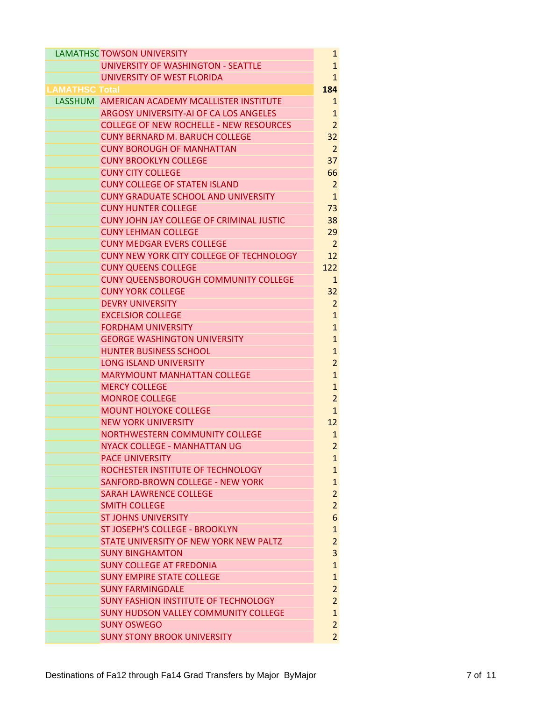|                       | <b>LAMATHSC TOWSON UNIVERSITY</b>                                            | $\mathbf{1}$                 |
|-----------------------|------------------------------------------------------------------------------|------------------------------|
|                       | UNIVERSITY OF WASHINGTON - SEATTLE                                           | $\mathbf{1}$                 |
|                       | UNIVERSITY OF WEST FLORIDA                                                   | $\mathbf{1}$                 |
| <b>LAMATHSC Total</b> |                                                                              | 184                          |
|                       | LASSHUM AMERICAN ACADEMY MCALLISTER INSTITUTE                                | 1                            |
|                       | ARGOSY UNIVERSITY-AI OF CA LOS ANGELES                                       | $\mathbf{1}$                 |
|                       | <b>COLLEGE OF NEW ROCHELLE - NEW RESOURCES</b>                               | $\overline{2}$               |
|                       | <b>CUNY BERNARD M. BARUCH COLLEGE</b>                                        | 32                           |
|                       | <b>CUNY BOROUGH OF MANHATTAN</b>                                             | $\overline{2}$               |
|                       | <b>CUNY BROOKLYN COLLEGE</b>                                                 | 37                           |
|                       | <b>CUNY CITY COLLEGE</b>                                                     | 66                           |
|                       | <b>CUNY COLLEGE OF STATEN ISLAND</b>                                         | 2                            |
|                       | <b>CUNY GRADUATE SCHOOL AND UNIVERSITY</b>                                   | $\mathbf{1}$                 |
|                       | <b>CUNY HUNTER COLLEGE</b>                                                   | 73                           |
|                       | CUNY JOHN JAY COLLEGE OF CRIMINAL JUSTIC                                     | 38                           |
|                       | <b>CUNY LEHMAN COLLEGE</b>                                                   | 29                           |
|                       | <b>CUNY MEDGAR EVERS COLLEGE</b>                                             | $\overline{2}$               |
|                       | CUNY NEW YORK CITY COLLEGE OF TECHNOLOGY                                     | 12                           |
|                       | <b>CUNY QUEENS COLLEGE</b>                                                   | 122                          |
|                       | <b>CUNY QUEENSBOROUGH COMMUNITY COLLEGE</b>                                  | $\mathbf{1}$                 |
|                       | <b>CUNY YORK COLLEGE</b>                                                     | 32                           |
|                       | <b>DEVRY UNIVERSITY</b>                                                      | $\overline{2}$               |
|                       | <b>EXCELSIOR COLLEGE</b>                                                     | $\mathbf{1}$                 |
|                       | <b>FORDHAM UNIVERSITY</b>                                                    | $\mathbf{1}$                 |
|                       | <b>GEORGE WASHINGTON UNIVERSITY</b>                                          | $\mathbf{1}$                 |
|                       | <b>HUNTER BUSINESS SCHOOL</b>                                                | $\mathbf{1}$                 |
|                       | <b>LONG ISLAND UNIVERSITY</b>                                                | $\overline{2}$               |
|                       | <b>MARYMOUNT MANHATTAN COLLEGE</b>                                           | $\mathbf{1}$                 |
|                       | <b>MERCY COLLEGE</b>                                                         | $\mathbf{1}$                 |
|                       | <b>MONROE COLLEGE</b>                                                        | $\overline{2}$               |
|                       | <b>MOUNT HOLYOKE COLLEGE</b>                                                 | $\mathbf{1}$                 |
|                       | <b>NEW YORK UNIVERSITY</b>                                                   | 12                           |
|                       | NORTHWESTERN COMMUNITY COLLEGE                                               | $\mathbf{1}$                 |
|                       | <b>NYACK COLLEGE - MANHATTAN UG</b>                                          | $\overline{a}$               |
|                       | <b>PACE UNIVERSITY</b>                                                       | $\mathbf{1}$                 |
|                       | ROCHESTER INSTITUTE OF TECHNOLOGY<br><b>SANFORD-BROWN COLLEGE - NEW YORK</b> | $\mathbf{1}$<br>$\mathbf{1}$ |
|                       | <b>SARAH LAWRENCE COLLEGE</b>                                                | $\overline{2}$               |
|                       | <b>SMITH COLLEGE</b>                                                         | $\overline{2}$               |
|                       | <b>ST JOHNS UNIVERSITY</b>                                                   | 6                            |
|                       | ST JOSEPH'S COLLEGE - BROOKLYN                                               | $\mathbf{1}$                 |
|                       | STATE UNIVERSITY OF NEW YORK NEW PALTZ                                       | $\overline{2}$               |
|                       | <b>SUNY BINGHAMTON</b>                                                       | 3                            |
|                       | <b>SUNY COLLEGE AT FREDONIA</b>                                              | $\mathbf{1}$                 |
|                       | <b>SUNY EMPIRE STATE COLLEGE</b>                                             | $\mathbf{1}$                 |
|                       | <b>SUNY FARMINGDALE</b>                                                      | $\overline{2}$               |
|                       | <b>SUNY FASHION INSTITUTE OF TECHNOLOGY</b>                                  | $\overline{2}$               |
|                       | <b>SUNY HUDSON VALLEY COMMUNITY COLLEGE</b>                                  | $\mathbf{1}$                 |
|                       | <b>SUNY OSWEGO</b>                                                           | $\overline{2}$               |
|                       | <b>SUNY STONY BROOK UNIVERSITY</b>                                           | $\overline{2}$               |
|                       |                                                                              |                              |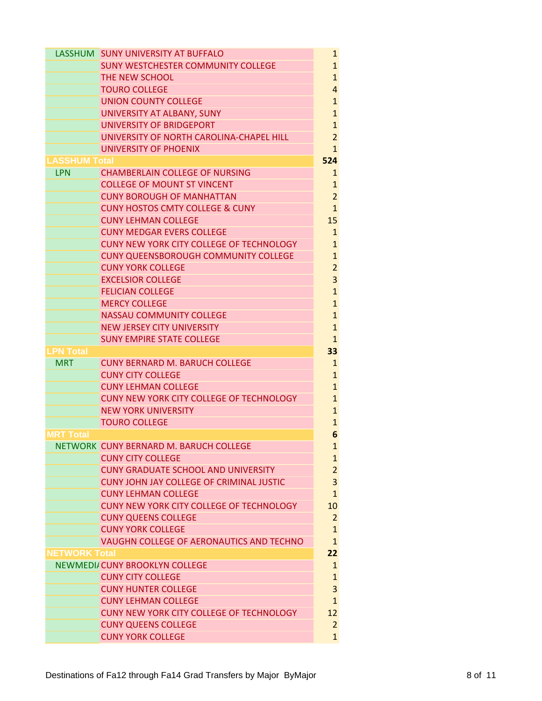|                      | LASSHUM SUNY UNIVERSITY AT BUFFALO              | $\mathbf{1}$   |
|----------------------|-------------------------------------------------|----------------|
|                      | <b>SUNY WESTCHESTER COMMUNITY COLLEGE</b>       | $\mathbf{1}$   |
|                      | THE NEW SCHOOL                                  | $\mathbf{1}$   |
|                      | <b>TOURO COLLEGE</b>                            | $\overline{4}$ |
|                      | <b>UNION COUNTY COLLEGE</b>                     | $\mathbf{1}$   |
|                      | UNIVERSITY AT ALBANY, SUNY                      | $\mathbf{1}$   |
|                      | UNIVERSITY OF BRIDGEPORT                        | $\mathbf{1}$   |
|                      | UNIVERSITY OF NORTH CAROLINA-CHAPEL HILL        | $\overline{2}$ |
|                      | UNIVERSITY OF PHOENIX                           | $\mathbf{1}$   |
| <b>LASSHUM Total</b> |                                                 | 524            |
| <b>LPN</b>           | <b>CHAMBERLAIN COLLEGE OF NURSING</b>           | $\mathbf{1}$   |
|                      | <b>COLLEGE OF MOUNT ST VINCENT</b>              | $\mathbf{1}$   |
|                      | <b>CUNY BOROUGH OF MANHATTAN</b>                | $\overline{2}$ |
|                      | <b>CUNY HOSTOS CMTY COLLEGE &amp; CUNY</b>      | $\mathbf{1}$   |
|                      | <b>CUNY LEHMAN COLLEGE</b>                      | 15             |
|                      | <b>CUNY MEDGAR EVERS COLLEGE</b>                | $\mathbf{1}$   |
|                      | CUNY NEW YORK CITY COLLEGE OF TECHNOLOGY        | $\mathbf{1}$   |
|                      | <b>CUNY QUEENSBOROUGH COMMUNITY COLLEGE</b>     | $\mathbf{1}$   |
|                      | <b>CUNY YORK COLLEGE</b>                        | $\overline{2}$ |
|                      | <b>EXCELSIOR COLLEGE</b>                        | 3              |
|                      | <b>FELICIAN COLLEGE</b>                         | $\mathbf{1}$   |
|                      | <b>MERCY COLLEGE</b>                            | $\mathbf{1}$   |
|                      | <b>NASSAU COMMUNITY COLLEGE</b>                 | $\mathbf{1}$   |
|                      | <b>NEW JERSEY CITY UNIVERSITY</b>               | $\mathbf{1}$   |
|                      | <b>SUNY EMPIRE STATE COLLEGE</b>                | $\mathbf{1}$   |
| <b>LPN Total</b>     |                                                 | 33             |
| <b>MRT</b>           | <b>CUNY BERNARD M. BARUCH COLLEGE</b>           | $\mathbf 1$    |
|                      | <b>CUNY CITY COLLEGE</b>                        | $\mathbf{1}$   |
|                      | <b>CUNY LEHMAN COLLEGE</b>                      | $\mathbf{1}$   |
|                      | CUNY NEW YORK CITY COLLEGE OF TECHNOLOGY        | $\mathbf{1}$   |
|                      | <b>NEW YORK UNIVERSITY</b>                      | $\mathbf{1}$   |
|                      | <b>TOURO COLLEGE</b>                            | $\mathbf{1}$   |
| <b>MRT Total</b>     |                                                 | 6              |
|                      | NETWORK CUNY BERNARD M. BARUCH COLLEGE          | $\mathbf{1}$   |
|                      | <b>CUNY CITY COLLEGE</b>                        | $\mathbf{1}$   |
|                      | <b>CUNY GRADUATE SCHOOL AND UNIVERSITY</b>      | $\overline{2}$ |
|                      | <b>CUNY JOHN JAY COLLEGE OF CRIMINAL JUSTIC</b> | 3              |
|                      | <b>CUNY LEHMAN COLLEGE</b>                      | $\mathbf{1}$   |
|                      | CUNY NEW YORK CITY COLLEGE OF TECHNOLOGY        | 10             |
|                      | <b>CUNY QUEENS COLLEGE</b>                      | $\overline{2}$ |
|                      | <b>CUNY YORK COLLEGE</b>                        | $\mathbf{1}$   |
|                      | VAUGHN COLLEGE OF AERONAUTICS AND TECHNO        | $\mathbf{1}$   |
| <b>NETWORK Total</b> |                                                 | 22             |
|                      | NEWMEDI/CUNY BROOKLYN COLLEGE                   | $\mathbf{1}$   |
|                      | <b>CUNY CITY COLLEGE</b>                        | $\mathbf{1}$   |
|                      | <b>CUNY HUNTER COLLEGE</b>                      | 3              |
|                      | <b>CUNY LEHMAN COLLEGE</b>                      | $\mathbf{1}$   |
|                      | CUNY NEW YORK CITY COLLEGE OF TECHNOLOGY        | 12             |
|                      | <b>CUNY QUEENS COLLEGE</b>                      | $\overline{2}$ |
|                      | <b>CUNY YORK COLLEGE</b>                        | $\mathbf{1}$   |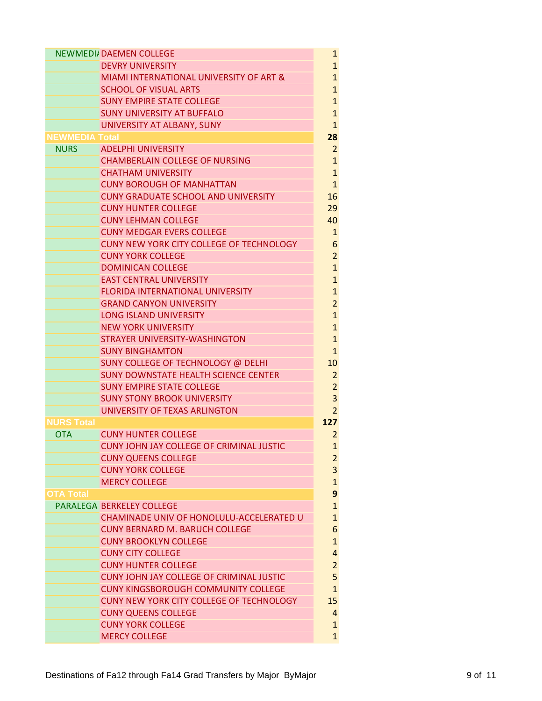|                          | <b>NEWMEDI/DAEMEN COLLEGE</b>                   | $\mathbf{1}$          |
|--------------------------|-------------------------------------------------|-----------------------|
|                          | <b>DEVRY UNIVERSITY</b>                         | $\mathbf{1}$          |
|                          | MIAMI INTERNATIONAL UNIVERSITY OF ART &         | $\mathbf{1}$          |
|                          | <b>SCHOOL OF VISUAL ARTS</b>                    | $\mathbf{1}$          |
|                          | <b>SUNY EMPIRE STATE COLLEGE</b>                | $\mathbf{1}$          |
|                          | <b>SUNY UNIVERSITY AT BUFFALO</b>               | $\mathbf{1}$          |
|                          | UNIVERSITY AT ALBANY, SUNY                      | $\mathbf{1}$          |
| <b>NEWMEDIA Total</b>    |                                                 | 28                    |
| <b>NURS</b>              | <b>ADELPHI UNIVERSITY</b>                       | $\overline{2}$        |
|                          | <b>CHAMBERLAIN COLLEGE OF NURSING</b>           | $\mathbf{1}$          |
|                          | <b>CHATHAM UNIVERSITY</b>                       | $\mathbf{1}$          |
|                          | <b>CUNY BOROUGH OF MANHATTAN</b>                | $\mathbf{1}$          |
|                          | <b>CUNY GRADUATE SCHOOL AND UNIVERSITY</b>      | 16                    |
|                          | <b>CUNY HUNTER COLLEGE</b>                      | 29                    |
|                          | <b>CUNY LEHMAN COLLEGE</b>                      | 40                    |
|                          | <b>CUNY MEDGAR EVERS COLLEGE</b>                | 1                     |
|                          | <b>CUNY NEW YORK CITY COLLEGE OF TECHNOLOGY</b> | 6                     |
|                          | <b>CUNY YORK COLLEGE</b>                        | $\overline{2}$        |
|                          | <b>DOMINICAN COLLEGE</b>                        | $\mathbf{1}$          |
|                          | <b>EAST CENTRAL UNIVERSITY</b>                  | $\mathbf{1}$          |
|                          | <b>FLORIDA INTERNATIONAL UNIVERSITY</b>         | $\mathbf{1}$          |
|                          | <b>GRAND CANYON UNIVERSITY</b>                  | $\overline{2}$        |
|                          | <b>LONG ISLAND UNIVERSITY</b>                   | $\mathbf{1}$          |
|                          | <b>NEW YORK UNIVERSITY</b>                      | $\mathbf{1}$          |
|                          | STRAYER UNIVERSITY-WASHINGTON                   | $\mathbf{1}$          |
|                          | <b>SUNY BINGHAMTON</b>                          | $\mathbf{1}$          |
|                          | SUNY COLLEGE OF TECHNOLOGY @ DELHI              | 10                    |
|                          | <b>SUNY DOWNSTATE HEALTH SCIENCE CENTER</b>     | 2                     |
|                          | <b>SUNY EMPIRE STATE COLLEGE</b>                | $\overline{2}$        |
|                          | <b>SUNY STONY BROOK UNIVERSITY</b>              | 3                     |
|                          | UNIVERSITY OF TEXAS ARLINGTON                   | $\overline{2}$        |
| NURS Total<br><b>OTA</b> | <b>CUNY HUNTER COLLEGE</b>                      | 127<br>$\overline{2}$ |
|                          | CUNY JOHN JAY COLLEGE OF CRIMINAL JUSTIC        |                       |
|                          | <b>CUNY QUEENS COLLEGE</b>                      | 1<br>$\overline{2}$   |
|                          | <b>CUNY YORK COLLEGE</b>                        | 3                     |
|                          | <b>MERCY COLLEGE</b>                            | $\mathbf{1}$          |
| <b>OTA Total</b>         |                                                 | 9                     |
|                          | PARALEGA BERKELEY COLLEGE                       | $\mathbf{1}$          |
|                          | CHAMINADE UNIV OF HONOLULU-ACCELERATED U        | $\mathbf{1}$          |
|                          | <b>CUNY BERNARD M. BARUCH COLLEGE</b>           | 6                     |
|                          | <b>CUNY BROOKLYN COLLEGE</b>                    | $\mathbf{1}$          |
|                          | <b>CUNY CITY COLLEGE</b>                        | 4                     |
|                          | <b>CUNY HUNTER COLLEGE</b>                      | $\overline{c}$        |
|                          | <b>CUNY JOHN JAY COLLEGE OF CRIMINAL JUSTIC</b> | 5                     |
|                          | <b>CUNY KINGSBOROUGH COMMUNITY COLLEGE</b>      | $\mathbf{1}$          |
|                          | CUNY NEW YORK CITY COLLEGE OF TECHNOLOGY        | 15                    |
|                          | <b>CUNY QUEENS COLLEGE</b>                      | $\overline{4}$        |
|                          | <b>CUNY YORK COLLEGE</b>                        | $\mathbf{1}$          |
|                          | <b>MERCY COLLEGE</b>                            | $\mathbf{1}$          |
|                          |                                                 |                       |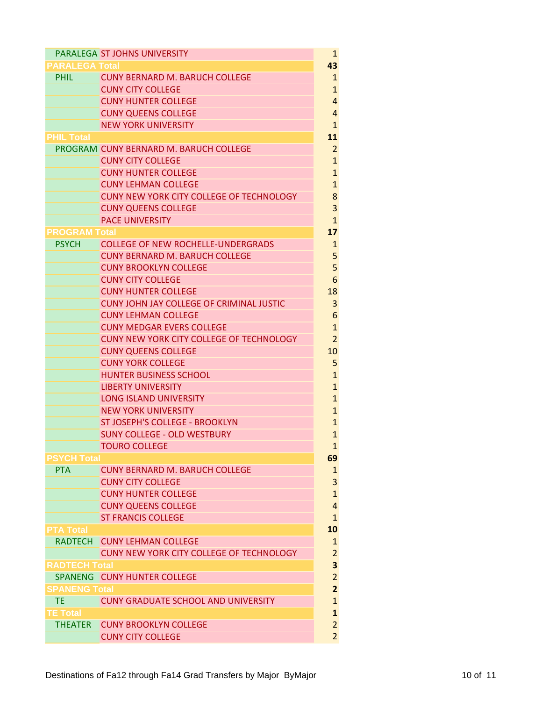|                                    | PARALEGA ST JOHNS UNIVERSITY                    | 1                                |
|------------------------------------|-------------------------------------------------|----------------------------------|
| PARALEGA Total                     |                                                 | 43                               |
| <b>PHIL</b>                        | <b>CUNY BERNARD M. BARUCH COLLEGE</b>           | $\mathbf{1}$                     |
|                                    | <b>CUNY CITY COLLEGE</b>                        | $\mathbf{1}$                     |
|                                    | <b>CUNY HUNTER COLLEGE</b>                      | $\overline{4}$                   |
|                                    | <b>CUNY QUEENS COLLEGE</b>                      | $\overline{4}$                   |
|                                    | <b>NEW YORK UNIVERSITY</b>                      | $\mathbf{1}$                     |
| <b>PHIL Total</b>                  |                                                 | 11                               |
|                                    | PROGRAM CUNY BERNARD M. BARUCH COLLEGE          | $\overline{2}$                   |
|                                    | <b>CUNY CITY COLLEGE</b>                        | $\mathbf{1}$                     |
|                                    | <b>CUNY HUNTER COLLEGE</b>                      | $\mathbf{1}$                     |
|                                    | <b>CUNY LEHMAN COLLEGE</b>                      | $\overline{1}$                   |
|                                    | CUNY NEW YORK CITY COLLEGE OF TECHNOLOGY        | 8                                |
|                                    | <b>CUNY QUEENS COLLEGE</b>                      | 3                                |
|                                    | PACE UNIVERSITY                                 | $\mathbf{1}$                     |
| <b>PROGRAM Total</b>               |                                                 | 17                               |
| <b>PSYCH</b>                       | <b>COLLEGE OF NEW ROCHELLE-UNDERGRADS</b>       | 1                                |
|                                    | <b>CUNY BERNARD M. BARUCH COLLEGE</b>           | 5                                |
|                                    | <b>CUNY BROOKLYN COLLEGE</b>                    | 5                                |
|                                    | <b>CUNY CITY COLLEGE</b>                        | 6                                |
|                                    | <b>CUNY HUNTER COLLEGE</b>                      | 18                               |
|                                    | <b>CUNY JOHN JAY COLLEGE OF CRIMINAL JUSTIC</b> | 3                                |
|                                    | <b>CUNY LEHMAN COLLEGE</b>                      | 6                                |
|                                    | <b>CUNY MEDGAR EVERS COLLEGE</b>                | $\mathbf{1}$                     |
|                                    | CUNY NEW YORK CITY COLLEGE OF TECHNOLOGY        | $\overline{2}$                   |
|                                    | <b>CUNY QUEENS COLLEGE</b>                      | 10                               |
|                                    | <b>CUNY YORK COLLEGE</b>                        | 5                                |
|                                    | <b>HUNTER BUSINESS SCHOOL</b>                   | $\mathbf{1}$                     |
|                                    | <b>LIBERTY UNIVERSITY</b>                       | $\overline{1}$                   |
|                                    | <b>LONG ISLAND UNIVERSITY</b>                   | $\mathbf{1}$                     |
|                                    | <b>NEW YORK UNIVERSITY</b>                      | $\overline{1}$                   |
|                                    | ST JOSEPH'S COLLEGE - BROOKLYN                  | $\mathbf{1}$                     |
|                                    | <b>SUNY COLLEGE - OLD WESTBURY</b>              | $\mathbf{1}$                     |
|                                    | <b>TOURO COLLEGE</b>                            | $\mathbf{1}$                     |
| <b>PSYCH Total</b>                 |                                                 | 69                               |
| <b>PTA</b>                         | <b>CUNY BERNARD M. BARUCH COLLEGE</b>           | $\mathbf{1}$                     |
|                                    | <b>CUNY CITY COLLEGE</b>                        | 3                                |
|                                    | <b>CUNY HUNTER COLLEGE</b>                      | $\overline{1}$<br>$\overline{a}$ |
|                                    | <b>CUNY QUEENS COLLEGE</b>                      |                                  |
|                                    | <b>ST FRANCIS COLLEGE</b>                       | $\mathbf{1}$<br>10               |
| <b>PTA Total</b><br><b>RADTFCH</b> | <b>CUNY LEHMAN COLLEGE</b>                      | $\mathbf{1}$                     |
|                                    | CUNY NEW YORK CITY COLLEGE OF TECHNOLOGY        | $\overline{a}$                   |
| <b>RADTECH Total</b>               |                                                 | 3                                |
|                                    | SPANENG CUNY HUNTER COLLEGE                     | $\overline{2}$                   |
| SPANENG Total                      |                                                 | $\overline{2}$                   |
| <b>TE</b>                          | <b>CUNY GRADUATE SCHOOL AND UNIVERSITY</b>      | $\overline{1}$                   |
| <b>TE Total</b>                    |                                                 | $\mathbf{1}$                     |
| <b>THEATER</b>                     | <b>CUNY BROOKLYN COLLEGE</b>                    | $\overline{2}$                   |
|                                    | <b>CUNY CITY COLLEGE</b>                        | $\overline{2}$                   |
|                                    |                                                 |                                  |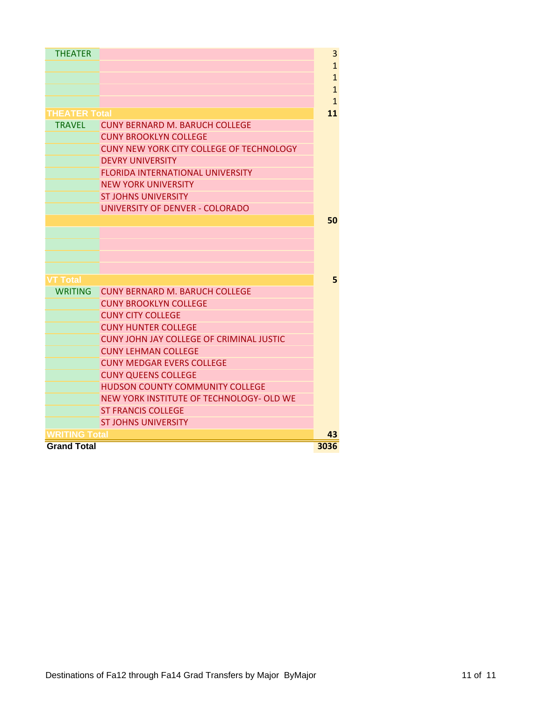| <b>THEATER</b>       |                                                 | 3            |
|----------------------|-------------------------------------------------|--------------|
|                      |                                                 | $\mathbf{1}$ |
|                      |                                                 | $\mathbf{1}$ |
|                      |                                                 | $\mathbf{1}$ |
|                      |                                                 | $\mathbf{1}$ |
| <b>THEATER Total</b> |                                                 | 11           |
| <b>TRAVFL</b>        | <b>CUNY BERNARD M. BARUCH COLLEGE</b>           |              |
|                      | <b>CUNY BROOKLYN COLLEGE</b>                    |              |
|                      |                                                 |              |
|                      | CUNY NEW YORK CITY COLLEGE OF TECHNOLOGY        |              |
|                      | <b>DEVRY UNIVERSITY</b>                         |              |
|                      | <b>FLORIDA INTERNATIONAL UNIVERSITY</b>         |              |
|                      | <b>NEW YORK UNIVERSITY</b>                      |              |
|                      | <b>ST JOHNS UNIVERSITY</b>                      |              |
|                      | UNIVERSITY OF DENVER - COLORADO                 |              |
|                      |                                                 | 50           |
|                      |                                                 |              |
|                      |                                                 |              |
|                      |                                                 |              |
|                      |                                                 |              |
| VT Total             |                                                 | 5            |
| <b>WRITING</b>       | <b>CUNY BERNARD M. BARUCH COLLEGE</b>           |              |
|                      | <b>CUNY BROOKLYN COLLEGE</b>                    |              |
|                      | <b>CUNY CITY COLLEGE</b>                        |              |
|                      | <b>CUNY HUNTER COLLEGE</b>                      |              |
|                      | <b>CUNY JOHN JAY COLLEGE OF CRIMINAL JUSTIC</b> |              |
|                      | <b>CUNY LEHMAN COLLEGE</b>                      |              |
|                      | <b>CUNY MEDGAR EVERS COLLEGE</b>                |              |
|                      | <b>CUNY QUEENS COLLEGE</b>                      |              |
|                      | <b>HUDSON COUNTY COMMUNITY COLLEGE</b>          |              |
|                      | NEW YORK INSTITUTE OF TECHNOLOGY- OLD WE        |              |
|                      | <b>ST FRANCIS COLLEGE</b>                       |              |
|                      | <b>ST JOHNS UNIVERSITY</b>                      |              |
| <b>RITING Total</b>  |                                                 | 43           |
| <b>Grand Total</b>   |                                                 | 3036         |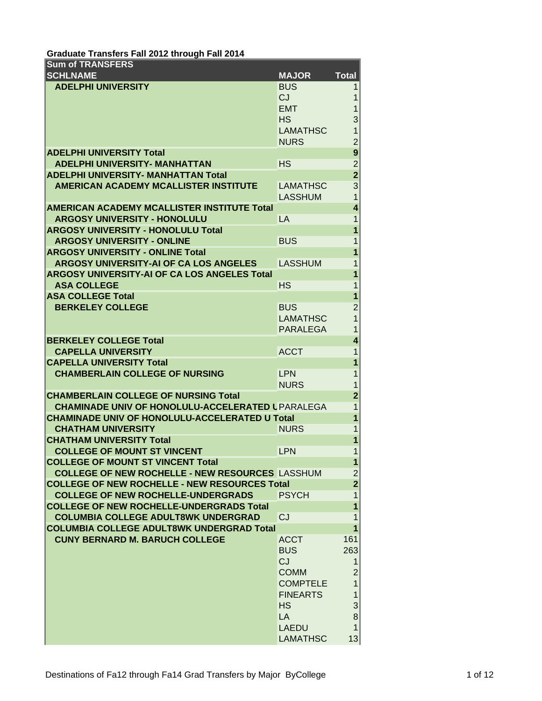| Graduate Transfers Fall 2012 through Fall 2014                                                |                                    |                     |
|-----------------------------------------------------------------------------------------------|------------------------------------|---------------------|
| <b>Sum of TRANSFERS</b>                                                                       |                                    |                     |
| <b>SCHLNAME</b>                                                                               | <b>MAJOR</b>                       | <b>Total</b>        |
| <b>ADELPHI UNIVERSITY</b>                                                                     | <b>BUS</b>                         | 1                   |
|                                                                                               | CJ                                 | 1                   |
|                                                                                               | <b>EMT</b>                         |                     |
|                                                                                               | <b>HS</b>                          | 3                   |
|                                                                                               | <b>LAMATHSC</b>                    | 1                   |
|                                                                                               | <b>NURS</b>                        | $\overline{c}$      |
| <b>ADELPHI UNIVERSITY Total</b>                                                               |                                    | 9                   |
| <b>ADELPHI UNIVERSITY- MANHATTAN</b>                                                          | <b>HS</b>                          | $\overline{c}$      |
| <b>ADELPHI UNIVERSITY- MANHATTAN Total</b>                                                    |                                    | $\overline{2}$      |
| <b>AMERICAN ACADEMY MCALLISTER INSTITUTE</b>                                                  | <b>LAMATHSC</b>                    | 3                   |
|                                                                                               | <b>LASSHUM</b>                     | $\overline{1}$      |
| <b>AMERICAN ACADEMY MCALLISTER INSTITUTE Total</b>                                            |                                    | 4                   |
| <b>ARGOSY UNIVERSITY - HONOLULU</b>                                                           | LA                                 | 1                   |
| <b>ARGOSY UNIVERSITY - HONOLULU Total</b>                                                     |                                    | 1                   |
| <b>ARGOSY UNIVERSITY - ONLINE</b>                                                             | <b>BUS</b>                         | 1                   |
| <b>ARGOSY UNIVERSITY - ONLINE Total</b>                                                       |                                    |                     |
| <b>ARGOSY UNIVERSITY-AI OF CA LOS ANGELES</b>                                                 | <b>LASSHUM</b>                     | 1                   |
| ARGOSY UNIVERSITY-AI OF CA LOS ANGELES Total                                                  |                                    | 1                   |
| <b>ASA COLLEGE</b>                                                                            | <b>HS</b>                          | 1                   |
| <b>ASA COLLEGE Total</b>                                                                      |                                    | 1                   |
| <b>BERKELEY COLLEGE</b>                                                                       | <b>BUS</b>                         | $\overline{c}$      |
|                                                                                               | <b>LAMATHSC</b>                    | $\overline{1}$      |
|                                                                                               | <b>PARALEGA</b>                    | 1                   |
| <b>BERKELEY COLLEGE Total</b>                                                                 |                                    | 4                   |
| <b>CAPELLA UNIVERSITY</b>                                                                     | <b>ACCT</b>                        | 1                   |
| <b>CAPELLA UNIVERSITY Total</b>                                                               |                                    | 1                   |
| <b>CHAMBERLAIN COLLEGE OF NURSING</b>                                                         | <b>LPN</b>                         | 1                   |
|                                                                                               | <b>NURS</b>                        |                     |
| <b>CHAMBERLAIN COLLEGE OF NURSING Total</b>                                                   |                                    | $\overline{2}$      |
| <b>CHAMINADE UNIV OF HONOLULU-ACCELERATED L PARALEGA</b>                                      |                                    | 1                   |
| <b>CHAMINADE UNIV OF HONOLULU-ACCELERATED U Total</b>                                         |                                    | 1                   |
| <b>CHATHAM UNIVERSITY</b>                                                                     | <b>NURS</b>                        | 1                   |
| <b>CHATHAM UNIVERSITY Total</b>                                                               |                                    | 1                   |
| <b>COLLEGE OF MOUNT ST VINCENT</b>                                                            | <b>LPN</b>                         | 1                   |
| <b>COLLEGE OF MOUNT ST VINCENT Total</b>                                                      |                                    | 1                   |
| <b>COLLEGE OF NEW ROCHELLE - NEW RESOURCES LASSHUM</b>                                        |                                    | $\overline{c}$      |
| <b>COLLEGE OF NEW ROCHELLE - NEW RESOURCES Total</b>                                          |                                    | $\overline{2}$<br>1 |
| <b>COLLEGE OF NEW ROCHELLE-UNDERGRADS</b>                                                     | <b>PSYCH</b>                       |                     |
| <b>COLLEGE OF NEW ROCHELLE-UNDERGRADS Total</b><br><b>COLUMBIA COLLEGE ADULT8WK UNDERGRAD</b> | CJ                                 | 1                   |
|                                                                                               |                                    | 1                   |
| <b>COLUMBIA COLLEGE ADULT8WK UNDERGRAD Total</b><br><b>CUNY BERNARD M. BARUCH COLLEGE</b>     |                                    | 1                   |
|                                                                                               | <b>ACCT</b>                        | 161                 |
|                                                                                               | <b>BUS</b><br><b>CJ</b>            | 263                 |
|                                                                                               | <b>COMM</b>                        | 1<br>$\overline{c}$ |
|                                                                                               |                                    | $\overline{1}$      |
|                                                                                               | <b>COMPTELE</b><br><b>FINEARTS</b> | 1                   |
|                                                                                               | <b>HS</b>                          | 3                   |
|                                                                                               | LA                                 | 8                   |
|                                                                                               | <b>LAEDU</b>                       | $\mathbf{1}$        |
|                                                                                               | <b>LAMATHSC</b>                    | 13                  |
|                                                                                               |                                    |                     |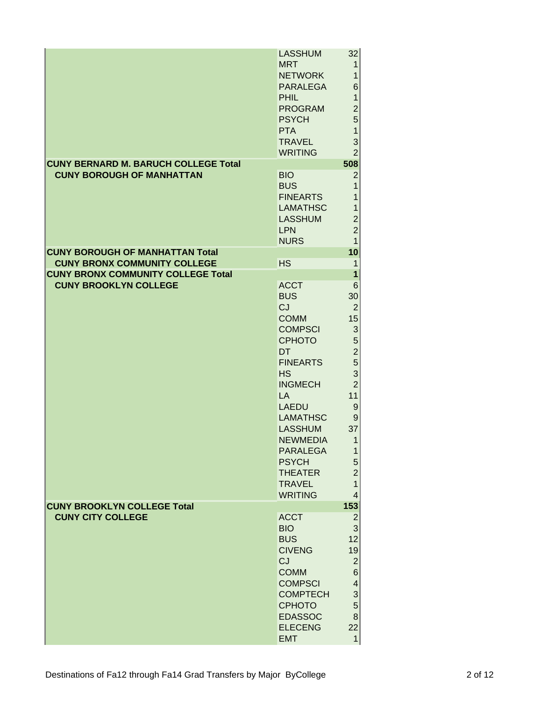|                                                                           | <b>LASSHUM</b><br><b>MRT</b><br><b>NETWORK</b><br><b>PARALEGA</b><br><b>PHIL</b><br><b>PROGRAM</b><br><b>PSYCH</b><br><b>PTA</b><br><b>TRAVEL</b><br><b>WRITING</b>                                                                                                                                                    | 32<br>$\mathbf{1}$<br>1<br>$6 \mid$<br>$\mathbf{1}$<br>$\overline{c}$<br>5 <sup>1</sup><br>$\mathbf{1}$<br>3<br>$\overline{2}$                                                                                                                 |
|---------------------------------------------------------------------------|------------------------------------------------------------------------------------------------------------------------------------------------------------------------------------------------------------------------------------------------------------------------------------------------------------------------|------------------------------------------------------------------------------------------------------------------------------------------------------------------------------------------------------------------------------------------------|
| <b>CUNY BERNARD M. BARUCH COLLEGE Total</b>                               |                                                                                                                                                                                                                                                                                                                        | 508                                                                                                                                                                                                                                            |
| <b>CUNY BOROUGH OF MANHATTAN</b>                                          | <b>BIO</b><br><b>BUS</b><br><b>FINEARTS</b><br><b>LAMATHSC</b><br><b>LASSHUM</b><br><b>LPN</b><br><b>NURS</b>                                                                                                                                                                                                          | $\overline{c}$<br>1<br>1<br>$\mathbf 1$<br>$\overline{\mathbf{c}}$<br>$\overline{c}$<br>$\mathbf{1}$                                                                                                                                           |
| <b>CUNY BOROUGH OF MANHATTAN Total</b>                                    |                                                                                                                                                                                                                                                                                                                        | 10                                                                                                                                                                                                                                             |
| <b>CUNY BRONX COMMUNITY COLLEGE</b>                                       | <b>HS</b>                                                                                                                                                                                                                                                                                                              | $\mathbf{1}$                                                                                                                                                                                                                                   |
| <b>CUNY BRONX COMMUNITY COLLEGE Total</b><br><b>CUNY BROOKLYN COLLEGE</b> | <b>ACCT</b><br><b>BUS</b><br>CJ<br><b>COMM</b><br><b>COMPSCI</b><br><b>CPHOTO</b><br><b>DT</b><br><b>FINEARTS</b><br><b>HS</b><br><b>INGMECH</b><br><b>LA</b><br><b>LAEDU</b><br><b>LAMATHSC</b><br><b>LASSHUM</b><br><b>NEWMEDIA</b><br>PARALEGA<br><b>PSYCH</b><br><b>THEATER</b><br><b>TRAVEL</b><br><b>WRITING</b> | $\overline{\mathbf{1}}$<br>6<br>30<br>$\overline{2}$<br>15<br>$\ensuremath{\mathsf{3}}$<br>5<br>$\overline{\mathbf{c}}$<br>5<br>3<br>$\overline{2}$<br>11<br>$\boldsymbol{9}$<br>9<br>37<br>1<br>1<br>5<br>$\overline{c}$<br>$\mathbf{1}$<br>4 |
| <b>CUNY BROOKLYN COLLEGE Total</b><br><b>CUNY CITY COLLEGE</b>            | <b>ACCT</b><br><b>BIO</b><br><b>BUS</b><br><b>CIVENG</b><br>CJ<br><b>COMM</b><br><b>COMPSCI</b><br><b>COMPTECH</b><br><b>CPHOTO</b><br><b>EDASSOC</b><br><b>ELECENG</b><br><b>EMT</b>                                                                                                                                  | 153<br>$\overline{c}$<br>$\overline{3}$<br>12<br>19<br>$\mathbf{2}$<br>6 <sup>1</sup><br>$\vert 4 \vert$<br>$\mathbf{3}$<br>5 <sup>1</sup><br>8 <sup>1</sup><br>22<br>$\mathbf{1}$                                                             |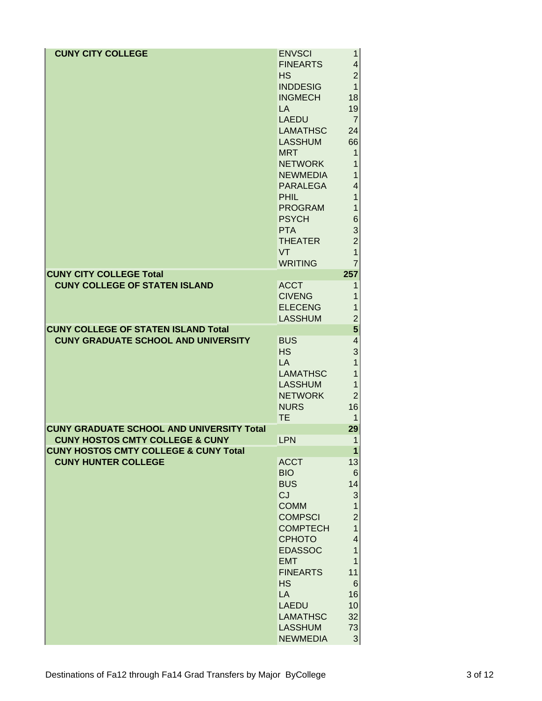| <b>CUNY CITY COLLEGE</b>                         |                 |                           |
|--------------------------------------------------|-----------------|---------------------------|
|                                                  | <b>ENVSCI</b>   | 1                         |
|                                                  | <b>FINEARTS</b> | $\overline{\mathbf{4}}$   |
|                                                  | <b>HS</b>       | $\overline{2}$            |
|                                                  | <b>INDDESIG</b> | $\overline{1}$            |
|                                                  | <b>INGMECH</b>  | 18                        |
|                                                  | <b>LA</b>       | 19                        |
|                                                  | <b>LAEDU</b>    | $\overline{7}$            |
|                                                  | <b>LAMATHSC</b> | 24                        |
|                                                  | <b>LASSHUM</b>  | 66                        |
|                                                  | <b>MRT</b>      | 1                         |
|                                                  | <b>NETWORK</b>  | 1                         |
|                                                  | <b>NEWMEDIA</b> | $\overline{1}$            |
|                                                  | <b>PARALEGA</b> | 4                         |
|                                                  | <b>PHIL</b>     | 1                         |
|                                                  | <b>PROGRAM</b>  | $\mathbf{1}$              |
|                                                  | <b>PSYCH</b>    | 6                         |
|                                                  | <b>PTA</b>      | $\frac{3}{2}$             |
|                                                  | <b>THEATER</b>  |                           |
|                                                  | VT              | $\overline{1}$            |
|                                                  | <b>WRITING</b>  | $\overline{7}$            |
| <b>CUNY CITY COLLEGE Total</b>                   |                 | 257                       |
| <b>CUNY COLLEGE OF STATEN ISLAND</b>             | <b>ACCT</b>     | 1                         |
|                                                  | <b>CIVENG</b>   | 1                         |
|                                                  | <b>ELECENG</b>  | 1                         |
|                                                  | <b>LASSHUM</b>  | $\overline{c}$            |
| <b>CUNY COLLEGE OF STATEN ISLAND Total</b>       |                 | 5                         |
| <b>CUNY GRADUATE SCHOOL AND UNIVERSITY</b>       | <b>BUS</b>      | 4                         |
|                                                  | <b>HS</b>       | 3                         |
|                                                  | <b>LA</b>       | 1                         |
|                                                  | <b>LAMATHSC</b> | $\mathbf{1}$              |
|                                                  | <b>LASSHUM</b>  | $\mathbf{1}$              |
|                                                  | <b>NETWORK</b>  | $\overline{2}$            |
|                                                  | <b>NURS</b>     | 16                        |
|                                                  | <b>TE</b>       | 1                         |
| <b>CUNY GRADUATE SCHOOL AND UNIVERSITY Total</b> |                 | 29                        |
| <b>CUNY HOSTOS CMTY COLLEGE &amp; CUNY</b>       | <b>LPN</b>      | $\mathbf 1$               |
| <b>CUNY HOSTOS CMTY COLLEGE &amp; CUNY Total</b> |                 | 1                         |
| <b>CUNY HUNTER COLLEGE</b>                       | <b>ACCT</b>     | 13                        |
|                                                  | <b>BIO</b>      | 6                         |
|                                                  | <b>BUS</b>      | 14                        |
|                                                  | CJ              | $\ensuremath{\mathsf{3}}$ |
|                                                  | <b>COMM</b>     | $\overline{1}$            |
|                                                  | <b>COMPSCI</b>  | $\overline{c}$            |
|                                                  | <b>COMPTECH</b> | $\overline{1}$            |
|                                                  | <b>CPHOTO</b>   | $\overline{\mathbf{4}}$   |
|                                                  | <b>EDASSOC</b>  | $\mathbf{1}$              |
|                                                  | <b>EMT</b>      | 1                         |
|                                                  | <b>FINEARTS</b> | 11                        |
|                                                  | <b>HS</b>       | $\,$ 6                    |
|                                                  | LA              | 16                        |
|                                                  | <b>LAEDU</b>    | 10                        |
|                                                  |                 |                           |
|                                                  | <b>LAMATHSC</b> | 32                        |
|                                                  | <b>LASSHUM</b>  | 73                        |
|                                                  | <b>NEWMEDIA</b> | $\mathbf{3}$              |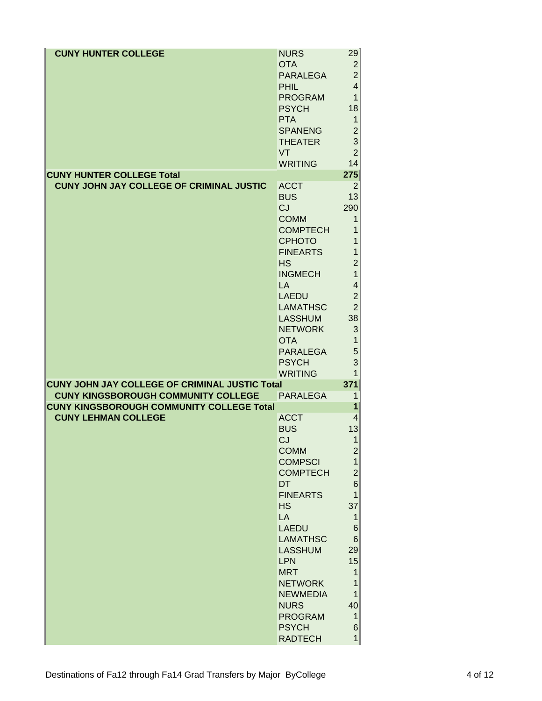<span id="page-15-0"></span>

| <b>CUNY HUNTER COLLEGE</b>                            | <b>NURS</b>                     | 29                   |
|-------------------------------------------------------|---------------------------------|----------------------|
|                                                       | <b>OTA</b>                      | $\overline{2}$       |
|                                                       | <b>PARALEGA</b>                 | $\overline{2}$       |
|                                                       | <b>PHIL</b>                     | $\overline{4}$       |
|                                                       | <b>PROGRAM</b>                  | $\mathbf{1}$         |
|                                                       | <b>PSYCH</b>                    | 18                   |
|                                                       | <b>PTA</b>                      | $\mathbf{1}$         |
|                                                       | <b>SPANENG</b>                  | $\overline{c}$       |
|                                                       | <b>THEATER</b><br><b>VT</b>     | 3<br>$\overline{2}$  |
|                                                       | <b>WRITING</b>                  | 14                   |
| <b>CUNY HUNTER COLLEGE Total</b>                      |                                 | 275                  |
| CUNY JOHN JAY COLLEGE OF CRIMINAL JUSTIC              | <b>ACCT</b>                     | 2                    |
|                                                       | <b>BUS</b>                      | 13                   |
|                                                       | <b>CJ</b>                       | 290                  |
|                                                       | <b>COMM</b>                     | 1                    |
|                                                       | <b>COMPTECH</b>                 | 1                    |
|                                                       | <b>CPHOTO</b>                   | 1                    |
|                                                       | <b>FINEARTS</b>                 | 1                    |
|                                                       | <b>HS</b>                       | $\overline{2}$       |
|                                                       | <b>INGMECH</b><br>LA            | $\mathbf{1}$<br>4    |
|                                                       | <b>LAEDU</b>                    | $\overline{2}$       |
|                                                       | <b>LAMATHSC</b>                 | $\overline{2}$       |
|                                                       | <b>LASSHUM</b>                  | 38                   |
|                                                       | <b>NETWORK</b>                  | 3                    |
|                                                       | <b>OTA</b>                      | $\mathbf{1}$         |
|                                                       | <b>PARALEGA</b>                 | 5                    |
|                                                       |                                 |                      |
|                                                       | <b>PSYCH</b>                    | 3                    |
|                                                       | <b>WRITING</b>                  | $\mathbf{1}$         |
| <b>CUNY JOHN JAY COLLEGE OF CRIMINAL JUSTIC Total</b> |                                 | 371                  |
| <b>CUNY KINGSBOROUGH COMMUNITY COLLEGE</b>            | PARALEGA                        | $\mathbf 1$          |
| <b>CUNY KINGSBOROUGH COMMUNITY COLLEGE Total</b>      |                                 | 1                    |
| <b>CUNY LEHMAN COLLEGE</b>                            | <b>ACCT</b>                     | $\overline{4}$       |
|                                                       | <b>BUS</b><br>CJ.               | 13<br>$\overline{1}$ |
|                                                       | <b>COMM</b>                     | $\overline{c}$       |
|                                                       | <b>COMPSCI</b>                  | 1                    |
|                                                       | <b>COMPTECH</b>                 | $\overline{c}$       |
|                                                       | <b>DT</b>                       | 6                    |
|                                                       | <b>FINEARTS</b>                 | $\mathbf{1}$         |
|                                                       | <b>HS</b>                       | 37                   |
|                                                       | LA                              | 1                    |
|                                                       | <b>LAEDU</b><br><b>LAMATHSC</b> | $\,6$                |
|                                                       | <b>LASSHUM</b>                  | $\,6$<br>29          |
|                                                       | <b>LPN</b>                      | 15                   |
|                                                       | <b>MRT</b>                      | 1                    |
|                                                       | <b>NETWORK</b>                  | $\mathbf{1}$         |
|                                                       | <b>NEWMEDIA</b>                 | $\mathbf{1}$         |
|                                                       | <b>NURS</b>                     | 40                   |
|                                                       | <b>PROGRAM</b>                  | $\mathbf{1}$         |
|                                                       | <b>PSYCH</b><br><b>RADTECH</b>  | 6<br>1               |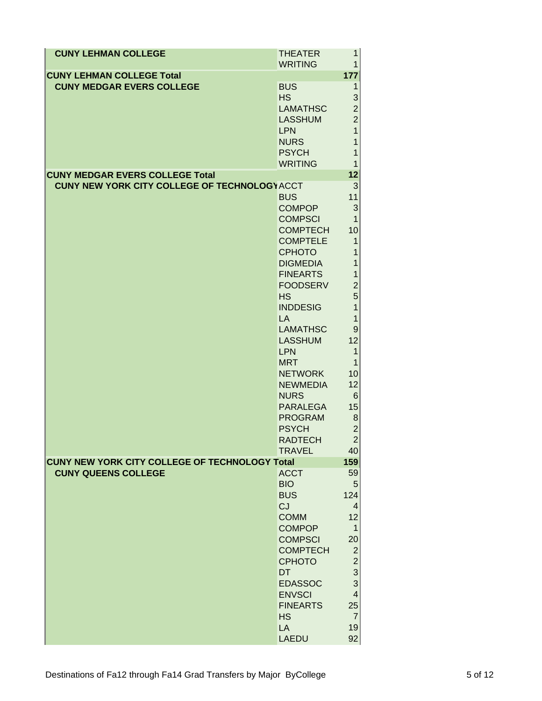| <b>CUNY LEHMAN COLLEGE</b>                                           | <b>THEATER</b>                 | 1                         |
|----------------------------------------------------------------------|--------------------------------|---------------------------|
|                                                                      | <b>WRITING</b>                 | 1                         |
| <b>CUNY LEHMAN COLLEGE Total</b><br><b>CUNY MEDGAR EVERS COLLEGE</b> | <b>BUS</b>                     | 177<br>1                  |
|                                                                      | <b>HS</b>                      | 3                         |
|                                                                      | <b>LAMATHSC</b>                | $\overline{2}$            |
|                                                                      | <b>LASSHUM</b>                 | $\overline{2}$            |
|                                                                      | <b>LPN</b>                     | $\overline{1}$            |
|                                                                      | <b>NURS</b>                    | $\mathbf{1}$              |
|                                                                      | <b>PSYCH</b>                   | 1                         |
|                                                                      | <b>WRITING</b>                 | 1                         |
| <b>CUNY MEDGAR EVERS COLLEGE Total</b>                               |                                | 12                        |
| <b>CUNY NEW YORK CITY COLLEGE OF TECHNOLOGY ACCT</b>                 |                                | 3                         |
|                                                                      | <b>BUS</b>                     | 11                        |
|                                                                      | <b>COMPOP</b>                  | $\ensuremath{\mathsf{3}}$ |
|                                                                      | <b>COMPSCI</b>                 | $\mathbf{1}$              |
|                                                                      | <b>COMPTECH</b>                | 10                        |
|                                                                      | <b>COMPTELE</b>                | $\mathbf{1}$              |
|                                                                      | <b>CPHOTO</b>                  | $\overline{1}$            |
|                                                                      | <b>DIGMEDIA</b>                | $\overline{1}$            |
|                                                                      | <b>FINEARTS</b>                | $\overline{1}$            |
|                                                                      | <b>FOODSERV</b>                | $\overline{c}$            |
|                                                                      | <b>HS</b>                      | 5                         |
|                                                                      | <b>INDDESIG</b>                | $\overline{1}$            |
|                                                                      | <b>LA</b>                      | $\mathbf{1}$              |
|                                                                      | <b>LAMATHSC</b>                | 9                         |
|                                                                      | <b>LASSHUM</b>                 | 12                        |
|                                                                      | <b>LPN</b>                     | $\mathbf{1}$              |
|                                                                      | <b>MRT</b>                     | $\mathbf{1}$              |
|                                                                      | <b>NETWORK</b>                 | 10<br>12                  |
|                                                                      | <b>NEWMEDIA</b><br><b>NURS</b> | 6 <sup>1</sup>            |
|                                                                      | <b>PARALEGA</b>                | 15                        |
|                                                                      | <b>PROGRAM</b>                 | $\bf{8}$                  |
|                                                                      | <b>PSYCH</b>                   | $\overline{2}$            |
|                                                                      | <b>RADTECH</b>                 | $\overline{2}$            |
|                                                                      | <b>TRAVEL</b>                  | 40                        |
| <b>CUNY NEW YORK CITY COLLEGE OF TECHNOLOGY Total</b>                |                                | 159                       |
| <b>CUNY QUEENS COLLEGE</b>                                           | <b>ACCT</b>                    | 59                        |
|                                                                      | <b>BIO</b>                     | 5                         |
|                                                                      | <b>BUS</b>                     | 124                       |
|                                                                      | CJ                             | 4                         |
|                                                                      | <b>COMM</b>                    | 12                        |
|                                                                      | <b>COMPOP</b>                  | 1                         |
|                                                                      | <b>COMPSCI</b>                 | 20                        |
|                                                                      | <b>COMPTECH</b>                | $\overline{2}$            |
|                                                                      | <b>CPHOTO</b>                  | $\overline{c}$            |
|                                                                      | DT                             | 3                         |
|                                                                      | <b>EDASSOC</b>                 | 3                         |
|                                                                      | <b>ENVSCI</b>                  | $\overline{\mathbf{4}}$   |
|                                                                      | <b>FINEARTS</b>                | 25                        |
|                                                                      | <b>HS</b>                      | $\overline{7}$            |
|                                                                      | LA                             | 19                        |
|                                                                      | LAEDU                          | 92                        |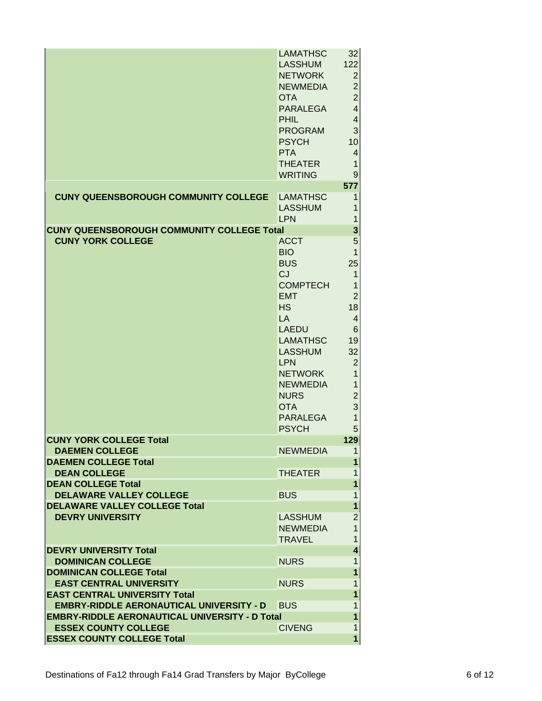|                                                       | LAMATHSC        | 32                      |
|-------------------------------------------------------|-----------------|-------------------------|
|                                                       | <b>LASSHUM</b>  | 122                     |
|                                                       | <b>NETWORK</b>  | $\overline{2}$          |
|                                                       | <b>NEWMEDIA</b> | $\overline{2}$          |
|                                                       | <b>OTA</b>      | $\overline{c}$          |
|                                                       | <b>PARALEGA</b> | $\overline{\mathbf{4}}$ |
|                                                       | PHIL.           | $\overline{\mathbf{4}}$ |
|                                                       | <b>PROGRAM</b>  | 3                       |
|                                                       | <b>PSYCH</b>    | 10                      |
|                                                       | <b>PTA</b>      | $\overline{4}$          |
|                                                       | <b>THEATER</b>  | 1                       |
|                                                       | <b>WRITING</b>  | 9                       |
|                                                       |                 | 577                     |
| <b>CUNY QUEENSBOROUGH COMMUNITY COLLEGE</b>           | <b>LAMATHSC</b> | 1                       |
|                                                       | <b>LASSHUM</b>  | 1                       |
|                                                       | LPN             | 1                       |
| <b>CUNY QUEENSBOROUGH COMMUNITY COLLEGE Total</b>     |                 | 3                       |
| <b>CUNY YORK COLLEGE</b>                              | <b>ACCT</b>     | 5                       |
|                                                       | <b>BIO</b>      | 1                       |
|                                                       | <b>BUS</b>      | 25                      |
|                                                       | <b>CJ</b>       | 1                       |
|                                                       | <b>COMPTECH</b> | 1                       |
|                                                       | <b>EMT</b>      | $\overline{2}$          |
|                                                       | <b>HS</b>       | 18                      |
|                                                       | LA              | 4                       |
|                                                       | <b>LAEDU</b>    | 6                       |
|                                                       | <b>LAMATHSC</b> | 19                      |
|                                                       | <b>LASSHUM</b>  | 32                      |
|                                                       | <b>LPN</b>      | $\overline{2}$          |
|                                                       | <b>NETWORK</b>  | 1                       |
|                                                       | <b>NEWMEDIA</b> | 1                       |
|                                                       | <b>NURS</b>     | $\overline{2}$          |
|                                                       | <b>OTA</b>      | 3                       |
|                                                       | <b>PARALEGA</b> | 1                       |
|                                                       | <b>PSYCH</b>    | 5                       |
| <b>CUNY YORK COLLEGE Total</b>                        |                 | 129                     |
| <b>DAEMEN COLLEGE</b>                                 | <b>NEWMEDIA</b> | 1                       |
| <b>DAEMEN COLLEGE Total</b>                           |                 | 1                       |
| <b>DEAN COLLEGE</b>                                   | <b>THEATER</b>  | 1                       |
| <b>DEAN COLLEGE Total</b>                             |                 | 1                       |
| <b>DELAWARE VALLEY COLLEGE</b>                        | <b>BUS</b>      | 1                       |
| <b>DELAWARE VALLEY COLLEGE Total</b>                  |                 | 1                       |
| <b>DEVRY UNIVERSITY</b>                               | <b>LASSHUM</b>  | $\overline{2}$          |
|                                                       | <b>NEWMEDIA</b> | 1                       |
|                                                       | <b>TRAVEL</b>   | 1                       |
| <b>DEVRY UNIVERSITY Total</b>                         |                 | $\overline{\mathbf{4}}$ |
| <b>DOMINICAN COLLEGE</b>                              | <b>NURS</b>     | 1                       |
| <b>DOMINICAN COLLEGE Total</b>                        |                 | 1                       |
| <b>EAST CENTRAL UNIVERSITY</b>                        | <b>NURS</b>     | 1                       |
| <b>EAST CENTRAL UNIVERSITY Total</b>                  |                 | 1                       |
| <b>EMBRY-RIDDLE AERONAUTICAL UNIVERSITY - D</b>       | <b>BUS</b>      | 1                       |
| <b>EMBRY-RIDDLE AERONAUTICAL UNIVERSITY - D Total</b> |                 | 1                       |
| <b>ESSEX COUNTY COLLEGE</b>                           | <b>CIVENG</b>   | 1                       |
| <b>ESSEX COUNTY COLLEGE Total</b>                     |                 | 1                       |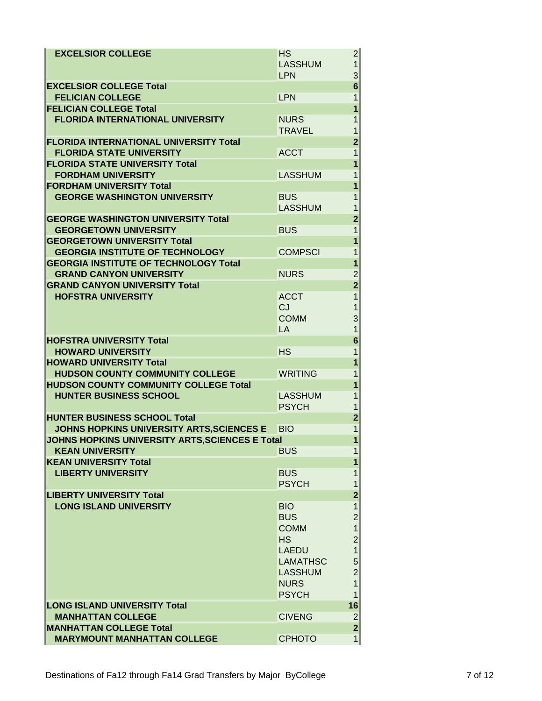| <b>EXCELSIOR COLLEGE</b>                                                               | <b>HS</b><br><b>LASSHUM</b> | 2 <br>$\mathbf{1}$                                 |
|----------------------------------------------------------------------------------------|-----------------------------|----------------------------------------------------|
|                                                                                        | <b>LPN</b>                  | 3                                                  |
| <b>EXCELSIOR COLLEGE Total</b>                                                         |                             | $\overline{6}$                                     |
| <b>FELICIAN COLLEGE</b>                                                                | <b>LPN</b>                  | 1                                                  |
| <b>FELICIAN COLLEGE Total</b>                                                          |                             | $\overline{1}$                                     |
| <b>FLORIDA INTERNATIONAL UNIVERSITY</b>                                                | <b>NURS</b>                 | 1                                                  |
|                                                                                        | <b>TRAVEL</b>               | 1                                                  |
| <b>FLORIDA INTERNATIONAL UNIVERSITY Total</b>                                          |                             | $\overline{2}$                                     |
| <b>FLORIDA STATE UNIVERSITY</b>                                                        | <b>ACCT</b>                 | $\overline{1}$                                     |
| <b>FLORIDA STATE UNIVERSITY Total</b>                                                  |                             | 1                                                  |
| <b>FORDHAM UNIVERSITY</b>                                                              | <b>LASSHUM</b>              | 1                                                  |
| <b>FORDHAM UNIVERSITY Total</b>                                                        |                             | 1                                                  |
| <b>GEORGE WASHINGTON UNIVERSITY</b>                                                    | <b>BUS</b>                  | 1                                                  |
|                                                                                        | <b>LASSHUM</b>              | 1                                                  |
| <b>GEORGE WASHINGTON UNIVERSITY Total</b>                                              |                             | $\overline{2}$                                     |
| <b>GEORGETOWN UNIVERSITY</b>                                                           | <b>BUS</b>                  | 1                                                  |
| <b>GEORGETOWN UNIVERSITY Total</b>                                                     |                             | 1                                                  |
| <b>GEORGIA INSTITUTE OF TECHNOLOGY</b><br><b>GEORGIA INSTITUTE OF TECHNOLOGY Total</b> | <b>COMPSCI</b>              | $\overline{1}$<br>1                                |
| <b>GRAND CANYON UNIVERSITY</b>                                                         | <b>NURS</b>                 |                                                    |
| <b>GRAND CANYON UNIVERSITY Total</b>                                                   |                             | $\overline{\mathbf{c}}$<br>$\overline{\mathbf{2}}$ |
| <b>HOFSTRA UNIVERSITY</b>                                                              | <b>ACCT</b>                 | $\overline{1}$                                     |
|                                                                                        | CJ                          | 1                                                  |
|                                                                                        | <b>COMM</b>                 | 3                                                  |
|                                                                                        | <b>LA</b>                   | $\overline{1}$                                     |
| <b>HOFSTRA UNIVERSITY Total</b>                                                        |                             | $6\phantom{a}$                                     |
| <b>HOWARD UNIVERSITY</b>                                                               | <b>HS</b>                   | $\mathbf{1}$                                       |
| <b>HOWARD UNIVERSITY Total</b>                                                         |                             | 1                                                  |
| <b>HUDSON COUNTY COMMUNITY COLLEGE</b>                                                 | <b>WRITING</b>              | 1                                                  |
| <b>HUDSON COUNTY COMMUNITY COLLEGE Total</b>                                           |                             | 1                                                  |
| <b>HUNTER BUSINESS SCHOOL</b>                                                          | <b>LASSHUM</b>              | 1                                                  |
|                                                                                        | <b>PSYCH</b>                | 1                                                  |
| <b>HUNTER BUSINESS SCHOOL Total</b>                                                    |                             | $\overline{2}$                                     |
| JOHNS HOPKINS UNIVERSITY ARTS, SCIENCES E                                              | <b>BIO</b>                  | $\overline{1}$                                     |
| <b>JOHNS HOPKINS UNIVERSITY ARTS, SCIENCES E Total</b>                                 |                             | 1                                                  |
| <b>KEAN UNIVERSITY</b>                                                                 | <b>BUS</b>                  | 1                                                  |
| <b>KEAN UNIVERSITY Total</b>                                                           |                             | 1                                                  |
| <b>LIBERTY UNIVERSITY</b>                                                              | <b>BUS</b>                  | 1                                                  |
|                                                                                        | <b>PSYCH</b>                | 1                                                  |
| <b>LIBERTY UNIVERSITY Total</b>                                                        |                             | $\overline{2}$                                     |
| <b>LONG ISLAND UNIVERSITY</b>                                                          | <b>BIO</b><br><b>BUS</b>    | $\mathbf{1}$<br>$\overline{c}$                     |
|                                                                                        | <b>COMM</b>                 | $\overline{1}$                                     |
|                                                                                        | <b>HS</b>                   | $\overline{c}$                                     |
|                                                                                        | <b>LAEDU</b>                | $\overline{1}$                                     |
|                                                                                        | <b>LAMATHSC</b>             | 5                                                  |
|                                                                                        | <b>LASSHUM</b>              | $\overline{2}$                                     |
|                                                                                        | <b>NURS</b>                 | $\overline{1}$                                     |
|                                                                                        | <b>PSYCH</b>                | 1                                                  |
| <b>LONG ISLAND UNIVERSITY Total</b>                                                    |                             | 16                                                 |
| <b>MANHATTAN COLLEGE</b>                                                               | <b>CIVENG</b>               | $\overline{\mathbf{c}}$                            |
| <b>MANHATTAN COLLEGE Total</b>                                                         |                             | $\overline{2}$                                     |
| <b>MARYMOUNT MANHATTAN COLLEGE</b>                                                     | <b>CPHOTO</b>               | 1                                                  |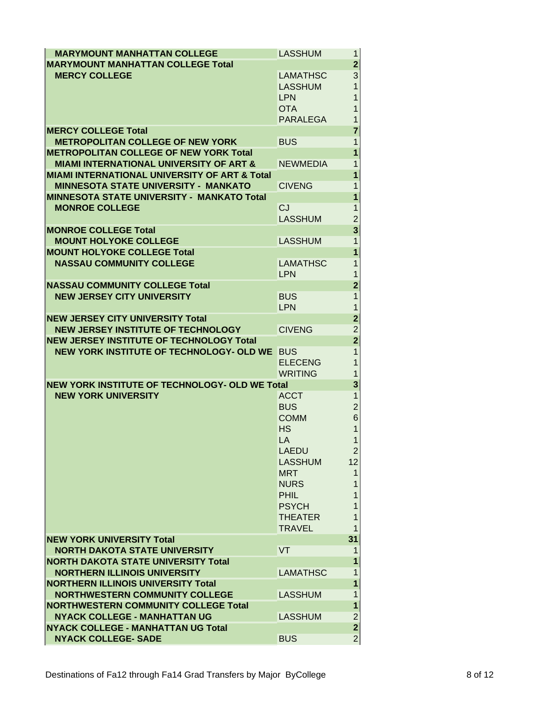<span id="page-19-0"></span>

| <b>MARYMOUNT MANHATTAN COLLEGE</b>                                                  | LASSHUM                           | 1.                      |
|-------------------------------------------------------------------------------------|-----------------------------------|-------------------------|
| <b>MARYMOUNT MANHATTAN COLLEGE Total</b>                                            |                                   | $\overline{\mathbf{2}}$ |
| <b>MERCY COLLEGE</b>                                                                | <b>LAMATHSC</b><br><b>LASSHUM</b> | 3<br>$\overline{1}$     |
|                                                                                     | <b>LPN</b>                        | 1                       |
|                                                                                     | <b>OTA</b>                        | 1                       |
|                                                                                     | <b>PARALEGA</b>                   | $\overline{1}$          |
| <b>MERCY COLLEGE Total</b>                                                          |                                   | $\overline{7}$          |
| <b>METROPOLITAN COLLEGE OF NEW YORK</b>                                             | <b>BUS</b>                        | $\mathbf 1$             |
| <b>METROPOLITAN COLLEGE OF NEW YORK Total</b>                                       |                                   | $\overline{1}$          |
| <b>MIAMI INTERNATIONAL UNIVERSITY OF ART &amp;</b>                                  | <b>NEWMEDIA</b>                   | 1                       |
| <b>MIAMI INTERNATIONAL UNIVERSITY OF ART &amp; Total</b>                            |                                   | $\overline{1}$          |
| <b>MINNESOTA STATE UNIVERSITY - MANKATO</b>                                         | <b>CIVENG</b>                     | 1                       |
| <b>MINNESOTA STATE UNIVERSITY - MANKATO Total</b>                                   |                                   | $\mathbf{1}$            |
| <b>MONROE COLLEGE</b>                                                               | CJ                                | $\mathbf{1}$            |
| <b>MONROE COLLEGE Total</b>                                                         | <b>LASSHUM</b>                    | $\overline{c}$<br>3     |
| <b>MOUNT HOLYOKE COLLEGE</b>                                                        | <b>LASSHUM</b>                    | $\overline{1}$          |
| <b>MOUNT HOLYOKE COLLEGE Total</b>                                                  |                                   | $\overline{1}$          |
| <b>NASSAU COMMUNITY COLLEGE</b>                                                     | <b>LAMATHSC</b>                   | 1                       |
|                                                                                     | <b>LPN</b>                        | $\mathbf 1$             |
| <b>NASSAU COMMUNITY COLLEGE Total</b>                                               |                                   | $\overline{\mathbf{2}}$ |
| <b>NEW JERSEY CITY UNIVERSITY</b>                                                   | <b>BUS</b>                        | $\overline{1}$          |
|                                                                                     | <b>LPN</b>                        | $\mathbf{1}$            |
| <b>NEW JERSEY CITY UNIVERSITY Total</b>                                             |                                   | $\overline{\mathbf{2}}$ |
| <b>NEW JERSEY INSTITUTE OF TECHNOLOGY</b>                                           | <b>CIVENG</b>                     | $\overline{2}$          |
| <b>NEW JERSEY INSTITUTE OF TECHNOLOGY Total</b>                                     |                                   | $\overline{2}$          |
|                                                                                     |                                   |                         |
| NEW YORK INSTITUTE OF TECHNOLOGY- OLD WE                                            | <b>BUS</b>                        | $\mathbf{1}$            |
|                                                                                     | <b>ELECENG</b>                    | $\overline{1}$          |
|                                                                                     | <b>WRITING</b>                    | $\mathbf 1$             |
| <b>NEW YORK INSTITUTE OF TECHNOLOGY- OLD WE Total</b><br><b>NEW YORK UNIVERSITY</b> | <b>ACCT</b>                       | 3<br>$\mathbf{1}$       |
|                                                                                     | <b>BUS</b>                        | $\overline{c}$          |
|                                                                                     | <b>COMM</b>                       | 6                       |
|                                                                                     | <b>HS</b>                         | $\overline{1}$          |
|                                                                                     | LA                                | $\mathbf{1}$            |
|                                                                                     | <b>LAEDU</b>                      | 2                       |
|                                                                                     | <b>LASSHUM</b>                    | 12                      |
|                                                                                     | <b>MRT</b>                        | $\mathbf{1}$            |
|                                                                                     | <b>NURS</b><br><b>PHIL</b>        | 1<br>1                  |
|                                                                                     | <b>PSYCH</b>                      | 1                       |
|                                                                                     | <b>THEATER</b>                    | 1                       |
|                                                                                     | <b>TRAVEL</b>                     | 1                       |
| <b>NEW YORK UNIVERSITY Total</b>                                                    |                                   | 31                      |
| <b>NORTH DAKOTA STATE UNIVERSITY</b>                                                | <b>VT</b>                         | 1                       |
| <b>NORTH DAKOTA STATE UNIVERSITY Total</b>                                          |                                   | 1                       |
| <b>NORTHERN ILLINOIS UNIVERSITY</b>                                                 | <b>LAMATHSC</b>                   | 1                       |
| <b>NORTHERN ILLINOIS UNIVERSITY Total</b>                                           |                                   | $\overline{1}$          |
| <b>NORTHWESTERN COMMUNITY COLLEGE</b>                                               | <b>LASSHUM</b>                    | 1                       |
| <b>NORTHWESTERN COMMUNITY COLLEGE Total</b><br><b>NYACK COLLEGE - MANHATTAN UG</b>  |                                   | $\mathbf{1}$            |
| <b>NYACK COLLEGE - MANHATTAN UG Total</b>                                           | <b>LASSHUM</b>                    | $\frac{2}{2}$           |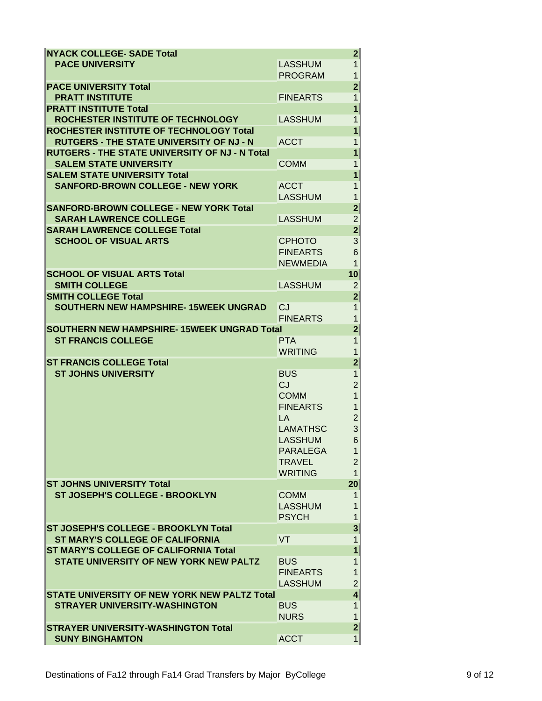| <b>NYACK COLLEGE- SADE Total</b>                                     |                 | 2                                |
|----------------------------------------------------------------------|-----------------|----------------------------------|
| <b>PACE UNIVERSITY</b>                                               | <b>LASSHUM</b>  | $\mathbf{1}$                     |
|                                                                      | <b>PROGRAM</b>  | $\mathbf 1$                      |
| <b>PACE UNIVERSITY Total</b>                                         |                 | $\overline{\mathbf{2}}$          |
| <b>PRATT INSTITUTE</b>                                               | <b>FINEARTS</b> | $\mathbf{1}$                     |
| <b>PRATT INSTITUTE Total</b>                                         |                 | $\overline{1}$                   |
| ROCHESTER INSTITUTE OF TECHNOLOGY                                    | <b>LASSHUM</b>  | $\mathbf 1$                      |
| ROCHESTER INSTITUTE OF TECHNOLOGY Total                              |                 | $\overline{1}$                   |
| <b>RUTGERS - THE STATE UNIVERSITY OF NJ - N</b>                      | <b>ACCT</b>     | 1                                |
| <b>RUTGERS - THE STATE UNIVERSITY OF NJ - N Total</b>                |                 | $\overline{1}$                   |
| <b>SALEM STATE UNIVERSITY</b>                                        | <b>COMM</b>     | 1                                |
| <b>SALEM STATE UNIVERSITY Total</b>                                  |                 | 1                                |
| <b>SANFORD-BROWN COLLEGE - NEW YORK</b>                              | <b>ACCT</b>     | $\mathbf{1}$                     |
|                                                                      | <b>LASSHUM</b>  | 1                                |
| <b>SANFORD-BROWN COLLEGE - NEW YORK Total</b>                        |                 | $\overline{\mathbf{2}}$          |
| <b>SARAH LAWRENCE COLLEGE</b>                                        |                 |                                  |
|                                                                      | <b>LASSHUM</b>  | $\overline{c}$<br>$\overline{2}$ |
| <b>SARAH LAWRENCE COLLEGE Total</b>                                  |                 |                                  |
| <b>SCHOOL OF VISUAL ARTS</b>                                         | <b>CPHOTO</b>   | 3                                |
|                                                                      | <b>FINEARTS</b> | $\overline{6}$                   |
|                                                                      | <b>NEWMEDIA</b> | $\mathbf{1}$                     |
| <b>SCHOOL OF VISUAL ARTS Total</b>                                   |                 | 10                               |
| <b>SMITH COLLEGE</b>                                                 | <b>LASSHUM</b>  | $\overline{c}$                   |
| <b>SMITH COLLEGE Total</b>                                           |                 | $\overline{2}$                   |
| SOUTHERN NEW HAMPSHIRE-15WEEK UNGRAD                                 | CJ              | $\overline{1}$                   |
|                                                                      | <b>FINEARTS</b> | 1                                |
| <b>SOUTHERN NEW HAMPSHIRE-15WEEK UNGRAD Total</b>                    |                 | $\overline{\mathbf{2}}$          |
| <b>ST FRANCIS COLLEGE</b>                                            | <b>PTA</b>      | $\overline{1}$                   |
|                                                                      | <b>WRITING</b>  | $\overline{1}$                   |
| <b>ST FRANCIS COLLEGE Total</b>                                      |                 | $\overline{\mathbf{2}}$          |
| <b>ST JOHNS UNIVERSITY</b>                                           | <b>BUS</b>      | $\mathbf 1$                      |
|                                                                      | CJ              | $\overline{c}$                   |
|                                                                      | <b>COMM</b>     | $\overline{1}$                   |
|                                                                      | <b>FINEARTS</b> | $\mathbf{1}$                     |
|                                                                      | <b>LA</b>       |                                  |
|                                                                      | <b>LAMATHSC</b> | $\frac{2}{3}$                    |
|                                                                      | <b>LASSHUM</b>  | 6                                |
|                                                                      | <b>PARALEGA</b> | 1                                |
|                                                                      | <b>TRAVEL</b>   | $\overline{2}$                   |
|                                                                      | <b>WRITING</b>  | $\mathbf{1}$                     |
| <b>ST JOHNS UNIVERSITY Total</b>                                     |                 | 20                               |
| <b>ST JOSEPH'S COLLEGE - BROOKLYN</b>                                | <b>COMM</b>     | 1                                |
|                                                                      | <b>LASSHUM</b>  | 1                                |
|                                                                      | <b>PSYCH</b>    | 1                                |
| ST JOSEPH'S COLLEGE - BROOKLYN Total                                 |                 | 3                                |
| <b>ST MARY'S COLLEGE OF CALIFORNIA</b>                               | VT              | 1                                |
| <b>ST MARY'S COLLEGE OF CALIFORNIA Total</b>                         |                 | 1                                |
| <b>STATE UNIVERSITY OF NEW YORK NEW PALTZ</b>                        | <b>BUS</b>      | 1                                |
|                                                                      | <b>FINEARTS</b> | $\overline{1}$                   |
|                                                                      | <b>LASSHUM</b>  | $\overline{c}$                   |
| STATE UNIVERSITY OF NEW YORK NEW PALTZ Total                         |                 |                                  |
|                                                                      |                 |                                  |
|                                                                      |                 | $\overline{\mathbf{4}}$          |
| <b>STRAYER UNIVERSITY-WASHINGTON</b>                                 | <b>BUS</b>      | 1                                |
|                                                                      | <b>NURS</b>     | 1                                |
| <b>STRAYER UNIVERSITY-WASHINGTON Total</b><br><b>SUNY BINGHAMTON</b> | <b>ACCT</b>     | $\mathbf{2}$<br>1                |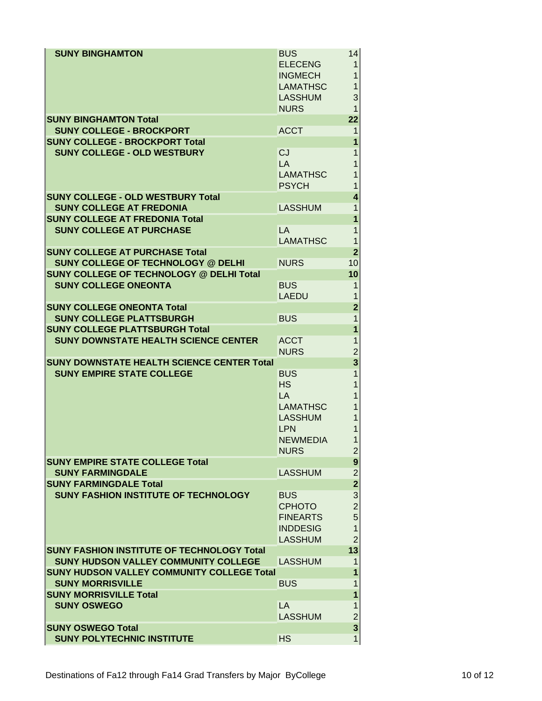| <b>SUNY BINGHAMTON</b>                                                         | <b>BUS</b><br><b>ELECENG</b><br><b>INGMECH</b><br><b>LAMATHSC</b><br><b>LASSHUM</b><br><b>NURS</b>          | 14<br>1<br>1<br>1<br>3<br>$\mathbf{1}$                                                    |
|--------------------------------------------------------------------------------|-------------------------------------------------------------------------------------------------------------|-------------------------------------------------------------------------------------------|
| <b>SUNY BINGHAMTON Total</b>                                                   |                                                                                                             | 22                                                                                        |
| <b>SUNY COLLEGE - BROCKPORT</b>                                                | <b>ACCT</b>                                                                                                 | 1                                                                                         |
| <b>SUNY COLLEGE - BROCKPORT Total</b><br><b>SUNY COLLEGE - OLD WESTBURY</b>    | CJ<br>LA<br><b>LAMATHSC</b><br><b>PSYCH</b>                                                                 | 1<br>1<br>1<br>1<br>1                                                                     |
| <b>SUNY COLLEGE - OLD WESTBURY Total</b>                                       |                                                                                                             | 4                                                                                         |
| <b>SUNY COLLEGE AT FREDONIA</b>                                                | <b>LASSHUM</b>                                                                                              | 1                                                                                         |
| <b>SUNY COLLEGE AT FREDONIA Total</b><br><b>SUNY COLLEGE AT PURCHASE</b>       | LA<br><b>LAMATHSC</b>                                                                                       | 1<br>1<br>1                                                                               |
| <b>SUNY COLLEGE AT PURCHASE Total</b>                                          |                                                                                                             | $\overline{2}$                                                                            |
| <b>SUNY COLLEGE OF TECHNOLOGY @ DELHI</b>                                      | <b>NURS</b>                                                                                                 | 10                                                                                        |
| <b>SUNY COLLEGE OF TECHNOLOGY @ DELHI Total</b><br><b>SUNY COLLEGE ONEONTA</b> | <b>BUS</b>                                                                                                  | 10                                                                                        |
|                                                                                | <b>LAEDU</b>                                                                                                | 1<br>1                                                                                    |
| <b>SUNY COLLEGE ONEONTA Total</b>                                              |                                                                                                             | $\mathbf{2}$                                                                              |
| <b>SUNY COLLEGE PLATTSBURGH</b>                                                | <b>BUS</b>                                                                                                  | 1                                                                                         |
| <b>SUNY COLLEGE PLATTSBURGH Total</b>                                          |                                                                                                             | 1                                                                                         |
| <b>SUNY DOWNSTATE HEALTH SCIENCE CENTER</b>                                    | <b>ACCT</b>                                                                                                 | 1                                                                                         |
|                                                                                | <b>NURS</b>                                                                                                 | $\overline{c}$                                                                            |
| <b>SUNY DOWNSTATE HEALTH SCIENCE CENTER Total</b>                              |                                                                                                             | 3                                                                                         |
| <b>SUNY EMPIRE STATE COLLEGE</b>                                               | <b>BUS</b><br><b>HS</b><br>LA<br><b>LAMATHSC</b><br><b>LASSHUM</b><br>LPN<br><b>NEWMEDIA</b><br><b>NURS</b> | 1<br>1<br>1<br>1<br>1<br>1<br>$\overline{c}$                                              |
| <b>SUNY EMPIRE STATE COLLEGE Total</b>                                         |                                                                                                             | 9                                                                                         |
| <b>SUNY FARMINGDALE</b>                                                        | <b>LASSHUM</b>                                                                                              | $\overline{\mathbf{c}}$                                                                   |
| <b>SUNY FARMINGDALE Total</b><br><b>SUNY FASHION INSTITUTE OF TECHNOLOGY</b>   | <b>BUS</b><br><b>CPHOTO</b><br><b>FINEARTS</b><br><b>INDDESIG</b><br><b>LASSHUM</b>                         | $\overline{2}$<br>$\mathbf{3}$<br>$\overline{a}$<br>5<br>$\overline{1}$<br>$\overline{2}$ |
| <b>SUNY FASHION INSTITUTE OF TECHNOLOGY Total</b>                              |                                                                                                             | 13                                                                                        |
| <b>SUNY HUDSON VALLEY COMMUNITY COLLEGE</b>                                    | <b>LASSHUM</b>                                                                                              | 1                                                                                         |
| <b>SUNY HUDSON VALLEY COMMUNITY COLLEGE Total</b>                              |                                                                                                             | 1                                                                                         |
| <b>SUNY MORRISVILLE</b>                                                        | <b>BUS</b>                                                                                                  | 1                                                                                         |
| <b>SUNY MORRISVILLE Total</b>                                                  |                                                                                                             | 1                                                                                         |
| <b>SUNY OSWEGO</b>                                                             | LA                                                                                                          | 1                                                                                         |
|                                                                                | <b>LASSHUM</b>                                                                                              | $\overline{2}$                                                                            |
| <b>SUNY OSWEGO Total</b><br><b>SUNY POLYTECHNIC INSTITUTE</b>                  | <b>HS</b>                                                                                                   | $\mathbf{3}$<br>$\mathbf{1}$                                                              |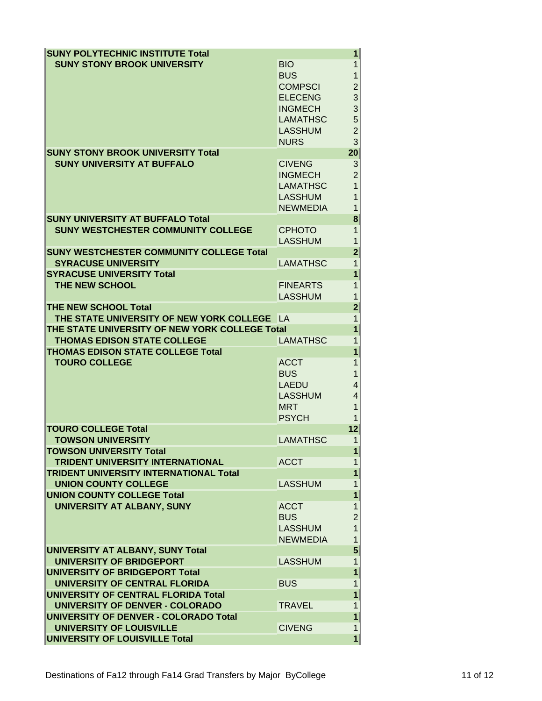| <b>SUNY POLYTECHNIC INSTITUTE Total</b>         |                                | 1              |
|-------------------------------------------------|--------------------------------|----------------|
| <b>SUNY STONY BROOK UNIVERSITY</b>              | <b>BIO</b>                     | 1              |
|                                                 | <b>BUS</b>                     | 1              |
|                                                 | <b>COMPSCI</b>                 | $\overline{c}$ |
|                                                 | <b>ELECENG</b>                 | 3              |
|                                                 | <b>INGMECH</b>                 | 3              |
|                                                 | <b>LAMATHSC</b>                | 5              |
|                                                 | <b>LASSHUM</b>                 | $\overline{2}$ |
|                                                 | <b>NURS</b>                    | 3              |
| <b>SUNY STONY BROOK UNIVERSITY Total</b>        |                                | 20             |
| <b>SUNY UNIVERSITY AT BUFFALO</b>               | <b>CIVENG</b>                  | 3              |
|                                                 | <b>INGMECH</b>                 | $\overline{2}$ |
|                                                 | <b>LAMATHSC</b>                | $\overline{1}$ |
|                                                 | <b>LASSHUM</b>                 | 1              |
|                                                 | <b>NEWMEDIA</b>                | 1              |
| <b>SUNY UNIVERSITY AT BUFFALO Total</b>         |                                | 8              |
| <b>SUNY WESTCHESTER COMMUNITY COLLEGE</b>       | <b>CPHOTO</b>                  | 1              |
|                                                 | <b>LASSHUM</b>                 | 1              |
| <b>SUNY WESTCHESTER COMMUNITY COLLEGE Total</b> |                                | $\overline{2}$ |
| <b>SYRACUSE UNIVERSITY</b>                      | <b>LAMATHSC</b>                | $\mathbf{1}$   |
| <b>SYRACUSE UNIVERSITY Total</b>                |                                | 1              |
| <b>THE NEW SCHOOL</b>                           | <b>FINEARTS</b>                | 1              |
|                                                 | <b>LASSHUM</b>                 | 1              |
| <b>THE NEW SCHOOL Total</b>                     |                                | $\overline{2}$ |
| THE STATE UNIVERSITY OF NEW YORK COLLEGE LA     |                                | 1              |
| THE STATE UNIVERSITY OF NEW YORK COLLEGE Total  |                                | 1              |
| <b>THOMAS EDISON STATE COLLEGE</b>              | <b>LAMATHSC</b>                | 1              |
| <b>THOMAS EDISON STATE COLLEGE Total</b>        |                                | 1              |
| <b>TOURO COLLEGE</b>                            | <b>ACCT</b>                    | 1              |
|                                                 | <b>BUS</b>                     | 1              |
|                                                 | <b>LAEDU</b><br><b>LASSHUM</b> | 4<br>4         |
|                                                 | <b>MRT</b>                     | 1              |
|                                                 | <b>PSYCH</b>                   | 1              |
| <b>TOURO COLLEGE Total</b>                      |                                | 12             |
| <b>TOWSON UNIVERSITY</b>                        | <b>LAMATHSC</b>                | 1              |
| <b>TOWSON UNIVERSITY Total</b>                  |                                | 1              |
| <b>TRIDENT UNIVERSITY INTERNATIONAL</b>         | <b>ACCT</b>                    | 1              |
| <b>TRIDENT UNIVERSITY INTERNATIONAL Total</b>   |                                | 1              |
| <b>UNION COUNTY COLLEGE</b>                     | <b>LASSHUM</b>                 | 1              |
| <b>UNION COUNTY COLLEGE Total</b>               |                                | 1              |
| UNIVERSITY AT ALBANY, SUNY                      | <b>ACCT</b>                    | 1              |
|                                                 | <b>BUS</b>                     | $\overline{2}$ |
|                                                 | <b>LASSHUM</b>                 | $\overline{1}$ |
|                                                 | <b>NEWMEDIA</b>                | 1              |
| UNIVERSITY AT ALBANY, SUNY Total                |                                | $\overline{5}$ |
| <b>UNIVERSITY OF BRIDGEPORT</b>                 | <b>LASSHUM</b>                 | $\mathbf{1}$   |
| UNIVERSITY OF BRIDGEPORT Total                  |                                | 1              |
| UNIVERSITY OF CENTRAL FLORIDA                   | <b>BUS</b>                     | 1              |
| UNIVERSITY OF CENTRAL FLORIDA Total             |                                | 1              |
| <b>UNIVERSITY OF DENVER - COLORADO</b>          | <b>TRAVEL</b>                  | 1              |
| <b>UNIVERSITY OF DENVER - COLORADO Total</b>    |                                |                |
|                                                 |                                | 1              |
| <b>UNIVERSITY OF LOUISVILLE</b>                 | <b>CIVENG</b>                  | 1              |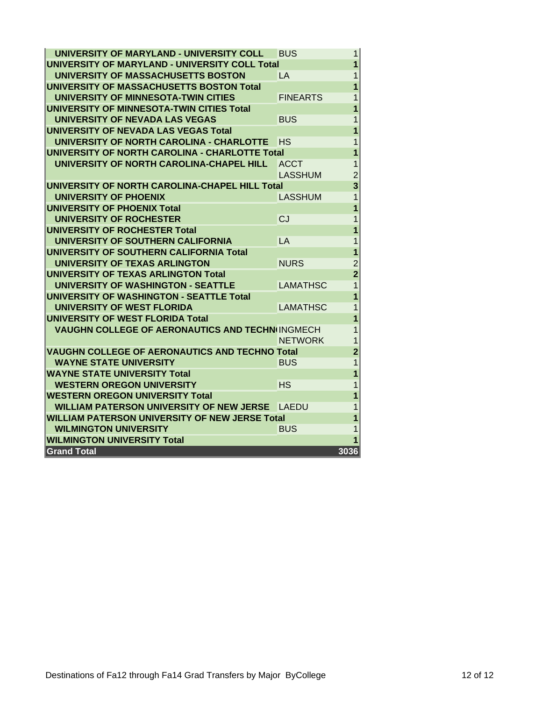| UNIVERSITY OF MARYLAND - UNIVERSITY COLL               | BUS             | 1              |
|--------------------------------------------------------|-----------------|----------------|
| UNIVERSITY OF MARYLAND - UNIVERSITY COLL Total         |                 | 1              |
| UNIVERSITY OF MASSACHUSETTS BOSTON                     | LA              | 1              |
| <b>UNIVERSITY OF MASSACHUSETTS BOSTON Total</b>        |                 | 1              |
| UNIVERSITY OF MINNESOTA-TWIN CITIES                    | <b>FINEARTS</b> | 1              |
| UNIVERSITY OF MINNESOTA-TWIN CITIES Total              |                 | 1              |
| UNIVERSITY OF NEVADA LAS VEGAS                         | <b>BUS</b>      | 1              |
| UNIVERSITY OF NEVADA LAS VEGAS Total                   |                 | 1              |
| UNIVERSITY OF NORTH CAROLINA - CHARLOTTE               | НS              | 1              |
| UNIVERSITY OF NORTH CAROLINA - CHARLOTTE Total         |                 | 1              |
| UNIVERSITY OF NORTH CAROLINA-CHAPEL HILL               | <b>ACCT</b>     | 1              |
|                                                        | <b>LASSHUM</b>  | $\overline{2}$ |
| <b>UNIVERSITY OF NORTH CAROLINA-CHAPEL HILL Total</b>  |                 | 3              |
| UNIVERSITY OF PHOENIX                                  | <b>LASSHUM</b>  | 1              |
| <b>UNIVERSITY OF PHOENIX Total</b>                     |                 | 1              |
| UNIVERSITY OF ROCHESTER                                | CJ              | 1              |
| <b>UNIVERSITY OF ROCHESTER Total</b>                   |                 | 1              |
| UNIVERSITY OF SOUTHERN CALIFORNIA                      | LA              | 1              |
| UNIVERSITY OF SOUTHERN CALIFORNIA Total                |                 | 1              |
| UNIVERSITY OF TEXAS ARLINGTON                          | <b>NURS</b>     | $\overline{2}$ |
| <b>UNIVERSITY OF TEXAS ARLINGTON Total</b>             |                 | $\overline{2}$ |
| UNIVERSITY OF WASHINGTON - SEATTLE                     | <b>LAMATHSC</b> | 1              |
| <b>UNIVERSITY OF WASHINGTON - SEATTLE Total</b>        |                 | 1              |
| <b>UNIVERSITY OF WEST FLORIDA</b>                      | LAMATHSC        | 1              |
| <b>UNIVERSITY OF WEST FLORIDA Total</b>                |                 | 1              |
| <b>VAUGHN COLLEGE OF AERONAUTICS AND TECHN INGMECH</b> |                 | 1              |
|                                                        | <b>NETWORK</b>  | 1              |
| <b>VAUGHN COLLEGE OF AERONAUTICS AND TECHNO Total</b>  |                 | $\overline{2}$ |
| <b>WAYNE STATE UNIVERSITY</b>                          | <b>BUS</b>      | 1              |
| <b>WAYNE STATE UNIVERSITY Total</b>                    |                 | 1              |
| <b>WESTERN OREGON UNIVERSITY</b>                       | <b>HS</b>       | 1              |
| <b>WESTERN OREGON UNIVERSITY Total</b>                 |                 | 1              |
| WILLIAM PATERSON UNIVERSITY OF NEW JERSE               | LAEDU           | 1              |
| <b>WILLIAM PATERSON UNIVERSITY OF NEW JERSE Total</b>  |                 | 1              |
| <b>WILMINGTON UNIVERSITY</b>                           | <b>BUS</b>      | 1              |
| <b>WILMINGTON UNIVERSITY Total</b>                     |                 |                |
| <b>Grand Total</b>                                     |                 | 3036           |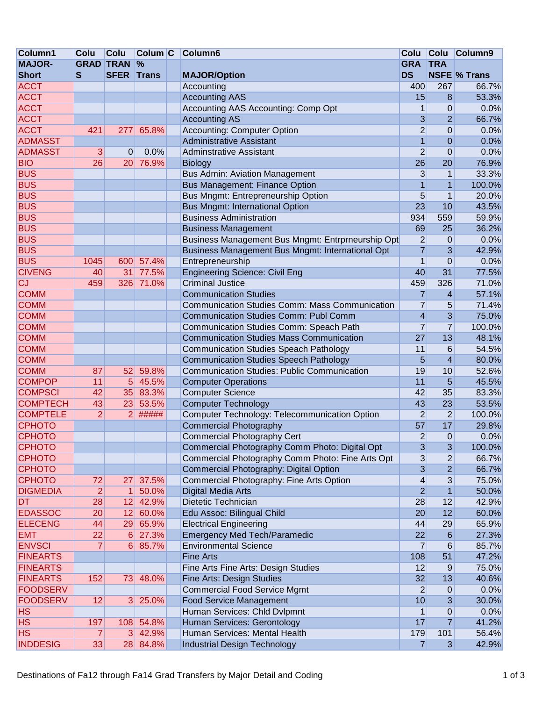| <b>MAJOR-</b><br><b>GRAD TRAN</b><br>$\frac{9}{6}$<br><b>GRA</b><br><b>TRA</b><br><b>DS</b><br>S<br><b>SFER Trans</b><br><b>Short</b><br><b>MAJOR/Option</b><br><b>ACCT</b><br>Accounting<br>400<br><b>ACCT</b><br><b>Accounting AAS</b><br>15<br><b>ACCT</b><br>Accounting AAS Accounting: Comp Opt<br>1 | <b>NSFE % Trans</b><br>267<br>66.7%<br>8<br>53.3%<br>0.0%<br>$\boldsymbol{0}$<br>$\overline{2}$<br>66.7%<br>0.0%<br>$\boldsymbol{0}$ |
|-----------------------------------------------------------------------------------------------------------------------------------------------------------------------------------------------------------------------------------------------------------------------------------------------------------|--------------------------------------------------------------------------------------------------------------------------------------|
|                                                                                                                                                                                                                                                                                                           |                                                                                                                                      |
|                                                                                                                                                                                                                                                                                                           |                                                                                                                                      |
|                                                                                                                                                                                                                                                                                                           |                                                                                                                                      |
|                                                                                                                                                                                                                                                                                                           |                                                                                                                                      |
|                                                                                                                                                                                                                                                                                                           |                                                                                                                                      |
| <b>ACCT</b><br><b>Accounting AS</b><br>3                                                                                                                                                                                                                                                                  |                                                                                                                                      |
| <b>ACCT</b><br>$\overline{2}$<br>421<br><b>Accounting: Computer Option</b><br>277<br>65.8%                                                                                                                                                                                                                |                                                                                                                                      |
| $\overline{1}$<br><b>ADMASST</b><br><b>Administrative Assistant</b>                                                                                                                                                                                                                                       | 0.0%<br>$\mathbf{0}$                                                                                                                 |
| $\overline{2}$<br><b>ADMASST</b><br>3<br>0<br>0.0%<br><b>Adminstrative Assistant</b>                                                                                                                                                                                                                      | $\mathbf 0$<br>0.0%                                                                                                                  |
| <b>BIO</b><br>26<br>26<br>76.9%<br>20<br><b>Biology</b>                                                                                                                                                                                                                                                   | 76.9%<br>20                                                                                                                          |
| <b>BUS</b><br><b>Bus Admin: Aviation Management</b><br>3                                                                                                                                                                                                                                                  | 33.3%<br>1                                                                                                                           |
| <b>BUS</b><br><b>Bus Management: Finance Option</b><br>1                                                                                                                                                                                                                                                  | $\mathbf{1}$<br>100.0%                                                                                                               |
| <b>BUS</b><br>5<br>Bus Mngmt: Entrepreneurship Option                                                                                                                                                                                                                                                     | $\mathbf{1}$<br>20.0%                                                                                                                |
| <b>BUS</b><br>23<br><b>Bus Mngmt: International Option</b>                                                                                                                                                                                                                                                | 10<br>43.5%                                                                                                                          |
| <b>BUS</b><br><b>Business Administration</b><br>934                                                                                                                                                                                                                                                       | 559<br>59.9%                                                                                                                         |
| <b>BUS</b><br>69<br><b>Business Management</b>                                                                                                                                                                                                                                                            | 25<br>36.2%                                                                                                                          |
| <b>BUS</b><br>$\overline{2}$<br>Business Management Bus Mngmt: Entrprneurship Opt                                                                                                                                                                                                                         | 0.0%<br>0                                                                                                                            |
| <b>BUS</b><br>$\overline{7}$<br>Business Management Bus Mngmt: International Opt                                                                                                                                                                                                                          | 3<br>42.9%                                                                                                                           |
| <b>BUS</b><br>57.4%<br>Entrepreneurship<br>1<br>1045<br>600                                                                                                                                                                                                                                               | $\mathbf 0$<br>0.0%                                                                                                                  |
| <b>CIVENG</b><br>77.5%<br><b>Engineering Science: Civil Eng</b><br>40<br>31<br>40                                                                                                                                                                                                                         | 31<br>77.5%                                                                                                                          |
| <b>CJ</b><br>326<br>71.0%<br><b>Criminal Justice</b><br>459<br>459                                                                                                                                                                                                                                        | 326<br>71.0%                                                                                                                         |
| <b>COMM</b><br><b>Communication Studies</b><br>$\overline{7}$                                                                                                                                                                                                                                             | $\overline{\mathbf{4}}$<br>57.1%                                                                                                     |
| <b>COMM</b><br><b>Communication Studies Comm: Mass Communication</b><br>$\overline{7}$                                                                                                                                                                                                                    | 71.4%<br>5                                                                                                                           |
| $\overline{\mathbf{4}}$<br><b>COMM</b><br><b>Communication Studies Comm: Publ Comm</b>                                                                                                                                                                                                                    | 3<br>75.0%                                                                                                                           |
| $\overline{7}$<br><b>COMM</b><br>Communication Studies Comm: Speach Path                                                                                                                                                                                                                                  | $\overline{7}$<br>100.0%                                                                                                             |
| <b>COMM</b><br><b>Communication Studies Mass Communication</b><br>27                                                                                                                                                                                                                                      | 48.1%<br>13                                                                                                                          |
| <b>COMM</b><br><b>Communication Studies Speach Pathology</b><br>11                                                                                                                                                                                                                                        | $6\phantom{1}6$<br>54.5%                                                                                                             |
| <b>COMM</b><br><b>Communication Studies Speech Pathology</b><br>5                                                                                                                                                                                                                                         | $\overline{4}$<br>80.0%                                                                                                              |
| 52<br>59.8%<br><b>Communication Studies: Public Communication</b><br>19<br><b>COMM</b><br>87                                                                                                                                                                                                              | 10<br>52.6%                                                                                                                          |
| <b>COMPOP</b><br>11<br>5<br>45.5%<br>11<br><b>Computer Operations</b>                                                                                                                                                                                                                                     | 5<br>45.5%                                                                                                                           |
| 42<br><b>COMPSCI</b><br>42<br>35<br>83.3%<br><b>Computer Science</b>                                                                                                                                                                                                                                      | 35<br>83.3%                                                                                                                          |
| 43<br><b>COMPTECH</b><br>43<br>53.5%<br><b>Computer Technology</b><br>23                                                                                                                                                                                                                                  | 23<br>53.5%                                                                                                                          |
| $\overline{2}$<br>$\overline{2}$<br>#####<br><b>COMPTELE</b><br>$\overline{2}$<br>Computer Technology: Telecommunication Option                                                                                                                                                                           | $\overline{2}$<br>100.0%                                                                                                             |
| <b>CPHOTO</b><br><b>Commercial Photography</b><br>57                                                                                                                                                                                                                                                      | 17<br>29.8%                                                                                                                          |
| $\overline{2}$<br><b>CPHOTO</b><br><b>Commercial Photography Cert</b>                                                                                                                                                                                                                                     | $\mathbf 0$<br>0.0%                                                                                                                  |
| <b>CPHOTO</b><br>Commercial Photography Comm Photo: Digital Opt<br>3                                                                                                                                                                                                                                      | 3<br>100.0%                                                                                                                          |
| <b>CPHOTO</b><br>Commercial Photography Comm Photo: Fine Arts Opt<br>3                                                                                                                                                                                                                                    | 66.7%<br>2                                                                                                                           |
| 3<br><b>CPHOTO</b><br>Commercial Photography: Digital Option                                                                                                                                                                                                                                              | $\overline{2}$<br>66.7%                                                                                                              |
| <b>CPHOTO</b><br>Commercial Photography: Fine Arts Option<br>$\overline{\mathbf{4}}$<br>72<br>37.5%<br>27                                                                                                                                                                                                 | 3<br>75.0%                                                                                                                           |
| $\overline{2}$<br><b>DIGMEDIA</b><br>$\overline{2}$<br>$\mathbf{1}$<br>50.0%<br>Digital Media Arts                                                                                                                                                                                                        | $\mathbf{1}$<br>50.0%                                                                                                                |
| <b>DT</b><br>12<br>42.9%<br>28<br>28<br>Dietetic Technician                                                                                                                                                                                                                                               | 12<br>42.9%                                                                                                                          |
| <b>EDASSOC</b><br>20<br>12<br>60.0%<br>Edu Assoc: Bilingual Child<br>20                                                                                                                                                                                                                                   | 12<br>60.0%                                                                                                                          |
| <b>ELECENG</b><br>65.9%<br><b>Electrical Engineering</b><br>44<br>44<br>29                                                                                                                                                                                                                                | 29<br>65.9%                                                                                                                          |
| <b>Emergency Med Tech/Paramedic</b><br>22<br><b>EMT</b><br>22<br>27.3%<br>6                                                                                                                                                                                                                               | 27.3%<br>$\,6$                                                                                                                       |
| $\overline{7}$<br><b>ENVSCI</b><br>85.7%<br><b>Environmental Science</b><br>7<br>6                                                                                                                                                                                                                        | $\,6$<br>85.7%                                                                                                                       |
| <b>FINEARTS</b><br><b>Fine Arts</b><br>108                                                                                                                                                                                                                                                                | 51<br>47.2%                                                                                                                          |
| <b>FINEARTS</b><br>12<br>Fine Arts Fine Arts: Design Studies                                                                                                                                                                                                                                              | 75.0%<br>$9\,$                                                                                                                       |
| <b>FINEARTS</b><br>32<br>152<br>73<br>48.0%<br>Fine Arts: Design Studies                                                                                                                                                                                                                                  | 13<br>40.6%                                                                                                                          |
| $\overline{2}$<br><b>FOODSERV</b><br><b>Commercial Food Service Mgmt</b>                                                                                                                                                                                                                                  | 0.0%<br>$\mathbf 0$                                                                                                                  |
| <b>FOODSERV</b><br><b>Food Service Management</b><br>12<br>25.0%<br>10<br> 3                                                                                                                                                                                                                              | 3<br>30.0%                                                                                                                           |
| Human Services: Chld Dvlpmnt<br><b>HS</b><br>1                                                                                                                                                                                                                                                            | $\boldsymbol{0}$<br>0.0%                                                                                                             |
| Human Services: Gerontology<br><b>HS</b><br>17<br>197<br>54.8%<br>108                                                                                                                                                                                                                                     | $\overline{7}$<br>41.2%                                                                                                              |
| <b>HS</b><br>3 42.9%<br>Human Services: Mental Health<br>179<br>7                                                                                                                                                                                                                                         | 101<br>56.4%                                                                                                                         |
| <b>INDDESIG</b><br>33<br>28 84.8%<br>Industrial Design Technology<br>7                                                                                                                                                                                                                                    | $\mathfrak{B}$<br>42.9%                                                                                                              |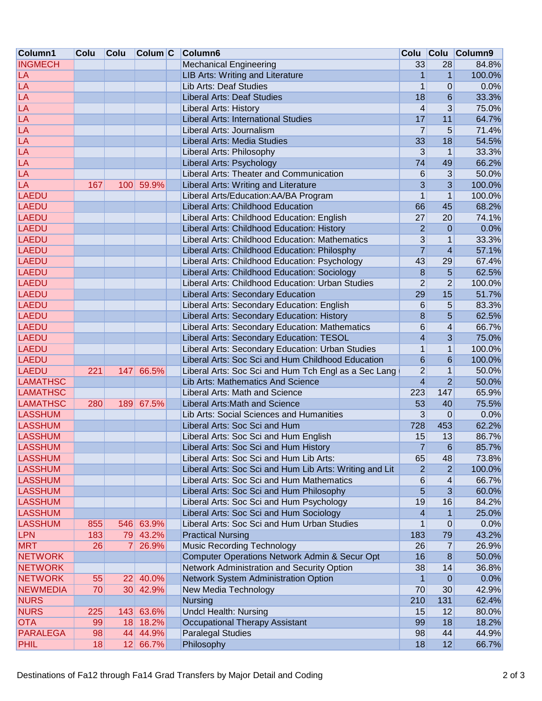| Column1         | Colu | <b>Colu</b>     | Column C  | Column6                                                 |                         | Colu Colu                | Column9 |
|-----------------|------|-----------------|-----------|---------------------------------------------------------|-------------------------|--------------------------|---------|
| <b>INGMECH</b>  |      |                 |           | <b>Mechanical Engineering</b>                           | 33                      | 28                       | 84.8%   |
| LA              |      |                 |           | LIB Arts: Writing and Literature                        | 1                       | $\mathbf{1}$             | 100.0%  |
| LA              |      |                 |           | Lib Arts: Deaf Studies                                  | 1                       | $\mathbf 0$              | 0.0%    |
| LA              |      |                 |           | <b>Liberal Arts: Deaf Studies</b>                       | 18                      | 6                        | 33.3%   |
| LA              |      |                 |           | <b>Liberal Arts: History</b>                            | 4                       | 3                        | 75.0%   |
| LA              |      |                 |           | <b>Liberal Arts: International Studies</b>              | 17                      | 11                       | 64.7%   |
| LA              |      |                 |           | Liberal Arts: Journalism                                | $\overline{7}$          | 5                        | 71.4%   |
| LA              |      |                 |           | <b>Liberal Arts: Media Studies</b>                      | 33                      | 18                       | 54.5%   |
| LA              |      |                 |           | Liberal Arts: Philosophy                                | 3                       | $\mathbf{1}$             | 33.3%   |
| LA              |      |                 |           | Liberal Arts: Psychology                                | 74                      | 49                       | 66.2%   |
| LA              |      |                 |           | Liberal Arts: Theater and Communication                 | 6                       | 3                        | 50.0%   |
| LA              | 167  |                 | 100 59.9% | Liberal Arts: Writing and Literature                    | 3                       | 3                        | 100.0%  |
| <b>LAEDU</b>    |      |                 |           | Liberal Arts/Education:AA/BA Program                    | $\mathbf{1}$            | $\mathbf 1$              | 100.0%  |
| <b>LAEDU</b>    |      |                 |           | Liberal Arts: Childhood Education                       | 66                      | 45                       | 68.2%   |
| <b>LAEDU</b>    |      |                 |           | Liberal Arts: Childhood Education: English              | 27                      | 20                       | 74.1%   |
| <b>LAEDU</b>    |      |                 |           | Liberal Arts: Childhood Education: History              | $\overline{2}$          | $\mathbf 0$              | 0.0%    |
| <b>LAEDU</b>    |      |                 |           | Liberal Arts: Childhood Education: Mathematics          | 3                       | $\mathbf{1}$             | 33.3%   |
| <b>LAEDU</b>    |      |                 |           | Liberal Arts: Childhood Education: Philosphy            | $\overline{7}$          | $\overline{4}$           | 57.1%   |
| <b>LAEDU</b>    |      |                 |           | Liberal Arts: Childhood Education: Psychology           | 43                      | 29                       | 67.4%   |
| <b>LAEDU</b>    |      |                 |           | Liberal Arts: Childhood Education: Sociology            | $\bf 8$                 | 5                        | 62.5%   |
| <b>LAEDU</b>    |      |                 |           | Liberal Arts: Childhood Education: Urban Studies        | $\overline{2}$          | $\overline{2}$           | 100.0%  |
| <b>LAEDU</b>    |      |                 |           | Liberal Arts: Secondary Education                       | 29                      | 15                       | 51.7%   |
| <b>LAEDU</b>    |      |                 |           | Liberal Arts: Secondary Education: English              | 6                       | 5                        | 83.3%   |
| <b>LAEDU</b>    |      |                 |           | Liberal Arts: Secondary Education: History              | 8                       | 5                        | 62.5%   |
| <b>LAEDU</b>    |      |                 |           | Liberal Arts: Secondary Education: Mathematics          | 6                       | $\overline{\mathcal{A}}$ | 66.7%   |
| <b>LAEDU</b>    |      |                 |           | Liberal Arts: Secondary Education: TESOL                | $\overline{\mathbf{4}}$ | 3                        | 75.0%   |
| <b>LAEDU</b>    |      |                 |           | Liberal Arts: Secondary Education: Urban Studies        | $\mathbf{1}$            | $\mathbf{1}$             | 100.0%  |
| <b>LAEDU</b>    |      |                 |           | Liberal Arts: Soc Sci and Hum Childhood Education       | 6                       | 6                        | 100.0%  |
| <b>LAEDU</b>    | 221  | 147             | 66.5%     | Liberal Arts: Soc Sci and Hum Tch Engl as a Sec Lang    | $\overline{c}$          | $\mathbf{1}$             | 50.0%   |
| <b>LAMATHSC</b> |      |                 |           | Lib Arts: Mathematics And Science                       | $\overline{4}$          | $\overline{2}$           | 50.0%   |
| <b>LAMATHSC</b> |      |                 |           | <b>Liberal Arts: Math and Science</b>                   | 223                     | 147                      | 65.9%   |
| <b>LAMATHSC</b> | 280  | 189             | 67.5%     | Liberal Arts: Math and Science                          | 53                      | 40                       | 75.5%   |
| <b>LASSHUM</b>  |      |                 |           | Lib Arts: Social Sciences and Humanities                | 3                       | $\mathbf 0$              | 0.0%    |
| <b>LASSHUM</b>  |      |                 |           | Liberal Arts: Soc Sci and Hum                           | 728                     | 453                      | 62.2%   |
| <b>LASSHUM</b>  |      |                 |           | Liberal Arts: Soc Sci and Hum English                   | 15                      | 13                       | 86.7%   |
| <b>LASSHUM</b>  |      |                 |           | Liberal Arts: Soc Sci and Hum History                   | <sup>1</sup>            | 6                        | 85.7%   |
| <b>LASSHUM</b>  |      |                 |           | Liberal Arts: Soc Sci and Hum Lib Arts:                 | 65                      | 48                       | 73.8%   |
| <b>LASSHUM</b>  |      |                 |           | Liberal Arts: Soc Sci and Hum Lib Arts: Writing and Lit | $\overline{2}$          | $\overline{2}$           | 100.0%  |
| <b>LASSHUM</b>  |      |                 |           | Liberal Arts: Soc Sci and Hum Mathematics               | 6                       | 4                        | 66.7%   |
| <b>LASSHUM</b>  |      |                 |           | Liberal Arts: Soc Sci and Hum Philosophy                | 5                       | 3                        | 60.0%   |
| <b>LASSHUM</b>  |      |                 |           | Liberal Arts: Soc Sci and Hum Psychology                | 19                      | 16                       | 84.2%   |
| <b>LASSHUM</b>  |      |                 |           | Liberal Arts: Soc Sci and Hum Sociology                 | 4                       | $\mathbf{1}$             | 25.0%   |
| <b>LASSHUM</b>  | 855  | 546             | 63.9%     | Liberal Arts: Soc Sci and Hum Urban Studies             | 1                       | 0                        | 0.0%    |
| <b>LPN</b>      | 183  | 79              | 43.2%     | <b>Practical Nursing</b>                                | 183                     | 79                       | 43.2%   |
| <b>MRT</b>      | 26   | 7               | 26.9%     | <b>Music Recording Technology</b>                       | 26                      | 7                        | 26.9%   |
| <b>NETWORK</b>  |      |                 |           | Computer Operations Network Admin & Secur Opt           | 16                      | 8                        | 50.0%   |
| <b>NETWORK</b>  |      |                 |           | Network Administration and Security Option              | 38                      | 14                       | 36.8%   |
| <b>NETWORK</b>  | 55   | 22              | 40.0%     | Network System Administration Option                    | $\mathbf{1}$            | $\boldsymbol{0}$         | 0.0%    |
| <b>NEWMEDIA</b> | 70   | 30 <sup>2</sup> | 42.9%     | New Media Technology                                    | 70                      | 30                       | 42.9%   |
| <b>NURS</b>     |      |                 |           | <b>Nursing</b>                                          | 210                     | 131                      | 62.4%   |
| <b>NURS</b>     | 225  |                 | 143 63.6% | <b>Undcl Health: Nursing</b>                            | 15                      | 12                       | 80.0%   |
| <b>OTA</b>      | 99   |                 | 18 18.2%  | <b>Occupational Therapy Assistant</b>                   | 99                      | 18                       | 18.2%   |
| <b>PARALEGA</b> | 98   | 44              | 44.9%     | <b>Paralegal Studies</b>                                | 98                      | 44                       | 44.9%   |
| <b>PHIL</b>     | 18   |                 | 12 66.7%  | Philosophy                                              | 18                      | 12                       | 66.7%   |
|                 |      |                 |           |                                                         |                         |                          |         |